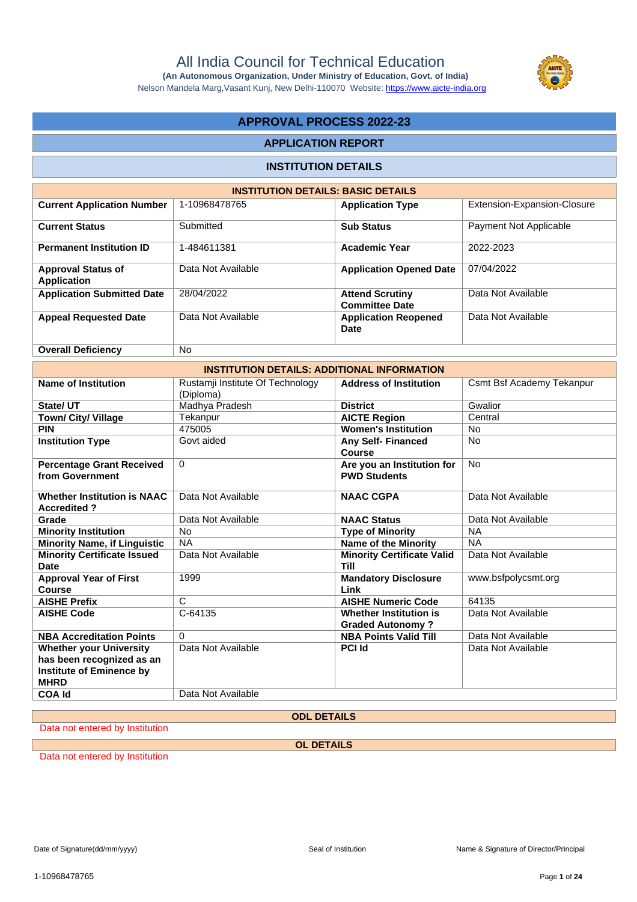Nelson Mandela Marg,Vasant Kunj, New Delhi-110070 Website: https://www.aicte-india.org

### **APPROVAL PROCESS 2022-23**

### **APPLICATION REPORT**

#### **INSTITUTION DETAILS**

| <b>INSTITUTION DETAILS: BASIC DETAILS</b> |                    |                                                 |                               |  |  |  |  |  |
|-------------------------------------------|--------------------|-------------------------------------------------|-------------------------------|--|--|--|--|--|
| <b>Current Application Number</b>         | 1-10968478765      | <b>Application Type</b>                         | Extension-Expansion-Closure   |  |  |  |  |  |
| <b>Current Status</b>                     | Submitted          | <b>Sub Status</b>                               | <b>Payment Not Applicable</b> |  |  |  |  |  |
| <b>Permanent Institution ID</b>           | 1-484611381        | <b>Academic Year</b>                            | 2022-2023                     |  |  |  |  |  |
| <b>Approval Status of</b><br>Application  | Data Not Available | <b>Application Opened Date</b>                  | 07/04/2022                    |  |  |  |  |  |
| <b>Application Submitted Date</b>         | 28/04/2022         | <b>Attend Scrutiny</b><br><b>Committee Date</b> | Data Not Available            |  |  |  |  |  |
| <b>Appeal Requested Date</b>              | Data Not Available | <b>Application Reopened</b><br>Date             | Data Not Available            |  |  |  |  |  |
| <b>Overall Deficiency</b>                 | No.                |                                                 |                               |  |  |  |  |  |

| <b>INSTITUTION DETAILS: ADDITIONAL INFORMATION</b>                                                            |                                               |                                                          |                           |  |  |  |  |
|---------------------------------------------------------------------------------------------------------------|-----------------------------------------------|----------------------------------------------------------|---------------------------|--|--|--|--|
| Name of Institution                                                                                           | Rustamji Institute Of Technology<br>(Diploma) | <b>Address of Institution</b>                            | Csmt Bsf Academy Tekanpur |  |  |  |  |
| State/UT                                                                                                      | Madhya Pradesh                                | <b>District</b>                                          | Gwalior                   |  |  |  |  |
| <b>Town/ City/ Village</b>                                                                                    | Tekanpur                                      | <b>AICTE Region</b>                                      | Central                   |  |  |  |  |
| <b>PIN</b>                                                                                                    | 475005                                        | <b>Women's Institution</b>                               | <b>No</b>                 |  |  |  |  |
| <b>Institution Type</b>                                                                                       | Govt aided                                    | <b>Any Self-Financed</b><br><b>Course</b>                | <b>No</b>                 |  |  |  |  |
| <b>Percentage Grant Received</b><br>from Government                                                           | $\mathbf 0$                                   | Are you an Institution for<br><b>PWD Students</b>        | <b>No</b>                 |  |  |  |  |
| <b>Whether Institution is NAAC</b><br><b>Accredited?</b>                                                      | Data Not Available                            | <b>NAAC CGPA</b>                                         | Data Not Available        |  |  |  |  |
| Grade                                                                                                         | Data Not Available                            | <b>NAAC Status</b>                                       | Data Not Available        |  |  |  |  |
| <b>Minority Institution</b>                                                                                   | <b>No</b>                                     | <b>Type of Minority</b>                                  | <b>NA</b>                 |  |  |  |  |
| <b>Minority Name, if Linguistic</b>                                                                           | <b>NA</b>                                     | <b>Name of the Minority</b>                              | <b>NA</b>                 |  |  |  |  |
| <b>Minority Certificate Issued</b><br><b>Date</b>                                                             | Data Not Available                            | <b>Minority Certificate Valid</b><br><b>Till</b>         | Data Not Available        |  |  |  |  |
| <b>Approval Year of First</b><br>Course                                                                       | 1999                                          | <b>Mandatory Disclosure</b><br>Link                      | www.bsfpolycsmt.org       |  |  |  |  |
| <b>AISHE Prefix</b>                                                                                           | C                                             | <b>AISHE Numeric Code</b>                                | 64135                     |  |  |  |  |
| <b>AISHE Code</b>                                                                                             | C-64135                                       | <b>Whether Institution is</b><br><b>Graded Autonomy?</b> | Data Not Available        |  |  |  |  |
| <b>NBA Accreditation Points</b>                                                                               | $\Omega$                                      | <b>NBA Points Valid Till</b>                             | Data Not Available        |  |  |  |  |
| <b>Whether your University</b><br>has been recognized as an<br><b>Institute of Eminence by</b><br><b>MHRD</b> | Data Not Available                            | <b>PCI Id</b>                                            | Data Not Available        |  |  |  |  |
| <b>COA Id</b>                                                                                                 | Data Not Available                            |                                                          |                           |  |  |  |  |

### **ODL DETAILS**

Data not entered by Institution

**OL DETAILS**

Data not entered by Institution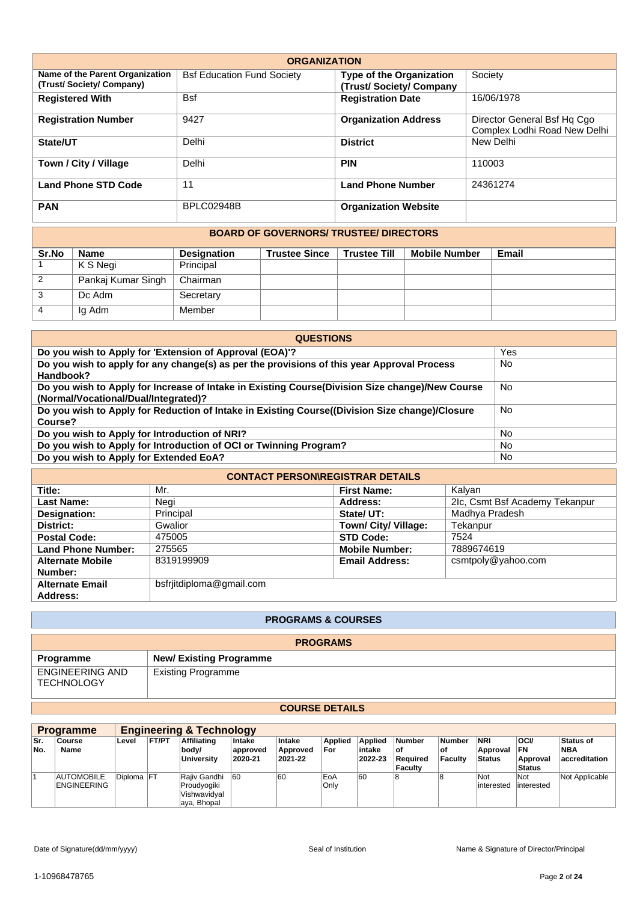| <b>ORGANIZATION</b>                                        |                                   |                                                           |                                                             |  |  |  |  |  |
|------------------------------------------------------------|-----------------------------------|-----------------------------------------------------------|-------------------------------------------------------------|--|--|--|--|--|
| Name of the Parent Organization<br>(Trust/Society/Company) | <b>Bsf Education Fund Society</b> | <b>Type of the Organization</b><br>(Trust/Society/Company | Society                                                     |  |  |  |  |  |
| <b>Registered With</b>                                     | <b>Bsf</b>                        | <b>Registration Date</b>                                  | 16/06/1978                                                  |  |  |  |  |  |
| <b>Registration Number</b>                                 | 9427                              | <b>Organization Address</b>                               | Director General Bsf Hg Cgo<br>Complex Lodhi Road New Delhi |  |  |  |  |  |
| State/UT                                                   | Delhi                             | <b>District</b>                                           | New Delhi                                                   |  |  |  |  |  |
| Town / City / Village                                      | Delhi                             | <b>PIN</b>                                                | 110003                                                      |  |  |  |  |  |
| <b>Land Phone STD Code</b>                                 | 11                                | <b>Land Phone Number</b>                                  | 24361274                                                    |  |  |  |  |  |
| <b>PAN</b>                                                 | <b>BPLC02948B</b>                 | <b>Organization Website</b>                               |                                                             |  |  |  |  |  |

#### **BOARD OF GOVERNORS/ TRUSTEE/ DIRECTORS**

| Sr.No          | Name               | <b>Designation</b> | <b>Trustee Since</b> | <b>Trustee Till</b> | <b>Mobile Number</b> | Email |
|----------------|--------------------|--------------------|----------------------|---------------------|----------------------|-------|
|                | K S Negi           | Principal          |                      |                     |                      |       |
| $\overline{2}$ | Pankaj Kumar Singh | Chairman           |                      |                     |                      |       |
| 3              | Dc Adm             | Secretary          |                      |                     |                      |       |
| $\overline{4}$ | Ig Adm             | Member             |                      |                     |                      |       |

| <b>QUESTIONS</b>                                                                                                                         |     |
|------------------------------------------------------------------------------------------------------------------------------------------|-----|
| Do you wish to Apply for 'Extension of Approval (EOA)'?                                                                                  | Yes |
| Do you wish to apply for any change(s) as per the provisions of this year Approval Process<br>Handbook?                                  | No. |
| Do you wish to Apply for Increase of Intake in Existing Course (Division Size change)/New Course<br>(Normal/Vocational/Dual/Integrated)? | No. |
| Do you wish to Apply for Reduction of Intake in Existing Course((Division Size change)/Closure<br>Course?                                | No  |
| Do you wish to Apply for Introduction of NRI?                                                                                            | No  |
| Do you wish to Apply for Introduction of OCI or Twinning Program?                                                                        | No. |
| Do you wish to Apply for Extended EoA?                                                                                                   | No  |

| <b>CONTACT PERSON\REGISTRAR DETAILS</b> |                          |                       |                                |  |  |  |  |  |
|-----------------------------------------|--------------------------|-----------------------|--------------------------------|--|--|--|--|--|
| Title:                                  | Mr.                      | <b>First Name:</b>    | Kalyan                         |  |  |  |  |  |
| <b>Last Name:</b>                       | Negi                     | Address:              | 2lc, Csmt Bsf Academy Tekanpur |  |  |  |  |  |
| Designation:                            | Principal                | State/UT:             | Madhya Pradesh                 |  |  |  |  |  |
| District:                               | Gwalior                  | Town/ City/ Village:  | Tekanpur                       |  |  |  |  |  |
| <b>Postal Code:</b>                     | 475005                   | <b>STD Code:</b>      | 7524                           |  |  |  |  |  |
| <b>Land Phone Number:</b>               | 275565                   | <b>Mobile Number:</b> | 7889674619                     |  |  |  |  |  |
| <b>Alternate Mobile</b>                 | 8319199909               | <b>Email Address:</b> | csmtpoly@yahoo.com             |  |  |  |  |  |
| Number:                                 |                          |                       |                                |  |  |  |  |  |
| <b>Alternate Email</b>                  | bsfrjitdiploma@gmail.com |                       |                                |  |  |  |  |  |
| Address:                                |                          |                       |                                |  |  |  |  |  |

| <b>PROGRAMS &amp; COURSES</b>        |                                |  |  |  |  |
|--------------------------------------|--------------------------------|--|--|--|--|
| <b>PROGRAMS</b>                      |                                |  |  |  |  |
| Programme                            | <b>New/ Existing Programme</b> |  |  |  |  |
| ENGINEERING AND<br><b>TECHNOLOGY</b> | <b>Existing Programme</b>      |  |  |  |  |

#### **COURSE DETAILS**

|            | <b>Programme</b>                        |            |              | <b>Engineering &amp; Technology</b>                        |                               |                               |                       |                                     |                                              |                                       |                                         |                                                      |                                                 |
|------------|-----------------------------------------|------------|--------------|------------------------------------------------------------|-------------------------------|-------------------------------|-----------------------|-------------------------------------|----------------------------------------------|---------------------------------------|-----------------------------------------|------------------------------------------------------|-------------------------------------------------|
| Sr.<br>No. | Course<br>Name                          | Level      | <b>FT/PT</b> | <b>Affiliating</b><br>body/<br><b>University</b>           | Intake<br>approved<br>2020-21 | Intake<br>Approved<br>2021-22 | <b>Applied</b><br>For | <b>Applied</b><br>intake<br>2022-23 | <b>Number</b><br>l of<br>Reauired<br>Faculty | <b>Number</b><br>οf<br><b>Faculty</b> | <b>NRI</b><br>Approval<br><b>Status</b> | <b>OCI</b><br><b>FN</b><br>Approval<br><b>Status</b> | <b>Status of</b><br><b>NBA</b><br>accreditation |
|            | <b>AUTOMOBILE</b><br><b>ENGINEERING</b> | Diploma FT |              | Rajiv Gandhi<br>Proudyogiki<br>Vishwavidval<br>aya, Bhopal | 60                            | 60                            | EoA<br>Only           | 60                                  | 8                                            |                                       | Not<br>interested                       | Not<br>linterested                                   | Not Applicable                                  |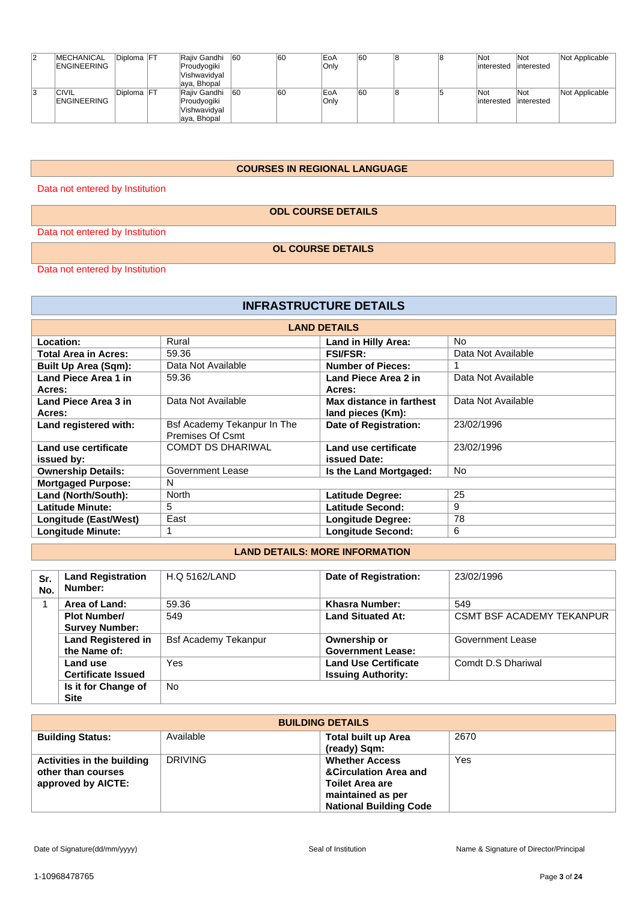| 2 | <b>MECHANICAL</b>  | Diploma FT | Rajiv Gandhi | 60 | 60 | EoA  | 60 |  | Not         | Not        | Not Applicable |
|---|--------------------|------------|--------------|----|----|------|----|--|-------------|------------|----------------|
|   | <b>ENGINEERING</b> |            | Proudyogiki  |    |    | Only |    |  | interested  | interested |                |
|   |                    |            | Vishwavidyal |    |    |      |    |  |             |            |                |
|   |                    |            | aya, Bhopal  |    |    |      |    |  |             |            |                |
| 3 | <b>CIVIL</b>       | Diploma FT | Rajiv Gandhi | 60 | 60 | EoA  | 60 |  | Not         | Not        | Not Applicable |
|   | <b>ENGINEERING</b> |            | Proudyogiki  |    |    | Only |    |  | linterested | interested |                |
|   |                    |            | Vishwavidyal |    |    |      |    |  |             |            |                |
|   |                    |            | aya, Bhopal  |    |    |      |    |  |             |            |                |

#### **COURSES IN REGIONAL LANGUAGE**

Data not entered by Institution

#### **ODL COURSE DETAILS**

Data not entered by Institution

### **OL COURSE DETAILS**

Data not entered by Institution

| <b>INFRASTRUCTURE DETAILS</b> |                                                 |                          |                    |  |  |  |  |  |
|-------------------------------|-------------------------------------------------|--------------------------|--------------------|--|--|--|--|--|
|                               | <b>LAND DETAILS</b>                             |                          |                    |  |  |  |  |  |
| Location:                     | Rural                                           | Land in Hilly Area:      | N <sub>o</sub>     |  |  |  |  |  |
| <b>Total Area in Acres:</b>   | 59.36                                           | <b>FSI/FSR:</b>          | Data Not Available |  |  |  |  |  |
| <b>Built Up Area (Sqm):</b>   | Data Not Available                              | <b>Number of Pieces:</b> |                    |  |  |  |  |  |
| Land Piece Area 1 in          | 59.36                                           | Land Piece Area 2 in     | Data Not Available |  |  |  |  |  |
| Acres:                        |                                                 | Acres:                   |                    |  |  |  |  |  |
| Land Piece Area 3 in          | Data Not Available                              | Max distance in farthest | Data Not Available |  |  |  |  |  |
| Acres:                        |                                                 | land pieces (Km):        |                    |  |  |  |  |  |
| Land registered with:         | Bsf Academy Tekanpur In The<br>Premises Of Csmt | Date of Registration:    | 23/02/1996         |  |  |  |  |  |
| Land use certificate          | <b>COMDT DS DHARIWAL</b>                        | Land use certificate     | 23/02/1996         |  |  |  |  |  |
| issued by:                    |                                                 | issued Date:             |                    |  |  |  |  |  |
| <b>Ownership Details:</b>     | Government Lease                                | Is the Land Mortgaged:   | <b>No</b>          |  |  |  |  |  |
| <b>Mortgaged Purpose:</b>     | N                                               |                          |                    |  |  |  |  |  |
| Land (North/South):           | <b>North</b>                                    | Latitude Degree:         | 25                 |  |  |  |  |  |
| <b>Latitude Minute:</b>       | 5                                               | <b>Latitude Second:</b>  | 9                  |  |  |  |  |  |
| Longitude (East/West)         | East                                            | <b>Longitude Degree:</b> | 78                 |  |  |  |  |  |
| <b>Longitude Minute:</b>      |                                                 | <b>Longitude Second:</b> | 6                  |  |  |  |  |  |

#### **LAND DETAILS: MORE INFORMATION**

| Sr. | <b>Land Registration</b>  | <b>H.Q 5162/LAND</b>        | Date of Registration:       | 23/02/1996                       |
|-----|---------------------------|-----------------------------|-----------------------------|----------------------------------|
|     |                           |                             |                             |                                  |
| No. | Number:                   |                             |                             |                                  |
|     | Area of Land:             | 59.36                       | Khasra Number:              | 549                              |
|     | <b>Plot Number/</b>       | 549                         | <b>Land Situated At:</b>    | <b>CSMT BSF ACADEMY TEKANPUR</b> |
|     | <b>Survey Number:</b>     |                             |                             |                                  |
|     | <b>Land Registered in</b> | <b>Bsf Academy Tekanpur</b> | Ownership or                | Government Lease                 |
|     | the Name of:              |                             | <b>Government Lease:</b>    |                                  |
|     | Land use                  | Yes                         | <b>Land Use Certificate</b> | Comdt D.S Dhariwal               |
|     | <b>Certificate Issued</b> |                             | <b>Issuing Authority:</b>   |                                  |
|     | Is it for Change of       | <b>No</b>                   |                             |                                  |
|     | <b>Site</b>               |                             |                             |                                  |

| <b>BUILDING DETAILS</b>                                                       |                |                                                                                                                                           |      |  |  |  |
|-------------------------------------------------------------------------------|----------------|-------------------------------------------------------------------------------------------------------------------------------------------|------|--|--|--|
| <b>Building Status:</b>                                                       | Available      | Total built up Area<br>(ready) Sqm:                                                                                                       | 2670 |  |  |  |
| <b>Activities in the building</b><br>other than courses<br>approved by AICTE: | <b>DRIVING</b> | <b>Whether Access</b><br><b>&amp;Circulation Area and</b><br><b>Toilet Area are</b><br>maintained as per<br><b>National Building Code</b> | Yes  |  |  |  |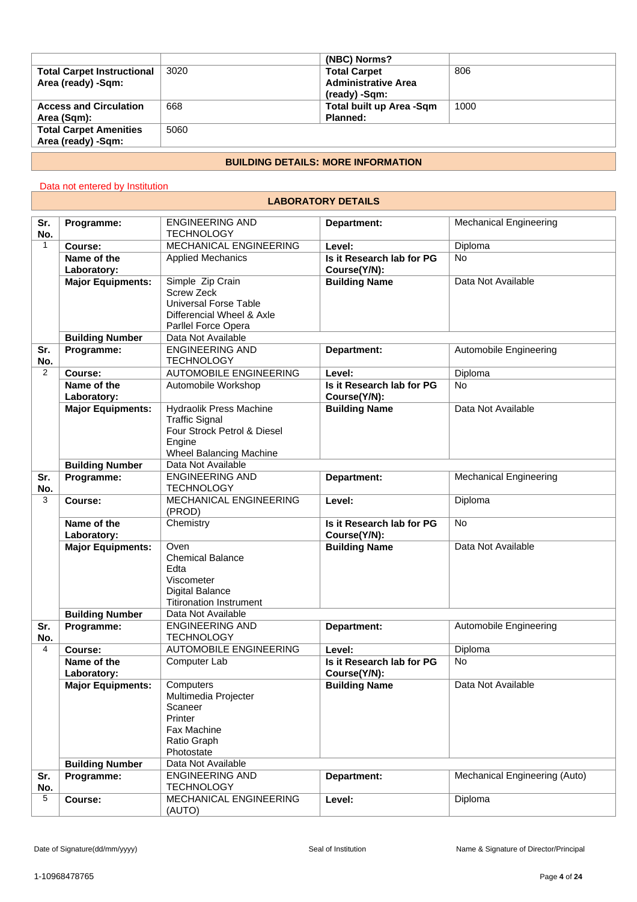|                                   |      | (NBC) Norms?                    |      |  |
|-----------------------------------|------|---------------------------------|------|--|
| <b>Total Carpet Instructional</b> | 3020 | <b>Total Carpet</b>             | 806  |  |
| Area (ready) -Sqm:                |      | <b>Administrative Area</b>      |      |  |
|                                   |      | (ready) -Sqm:                   |      |  |
| <b>Access and Circulation</b>     | 668  | <b>Total built up Area -Sqm</b> | 1000 |  |
| Area (Sqm):                       |      | Planned:                        |      |  |
| <b>Total Carpet Amenities</b>     | 5060 |                                 |      |  |
| Area (ready) -Sqm:                |      |                                 |      |  |
|                                   |      |                                 |      |  |
|                                   |      |                                 |      |  |

#### **BUILDING DETAILS: MORE INFORMATION**

# Data not entered by Institution

#### **LABORATORY DETAILS**

| Sr.<br>No.     | Programme:                 | <b>ENGINEERING AND</b><br><b>TECHNOLOGY</b>                                                                               | Department:                               | <b>Mechanical Engineering</b> |
|----------------|----------------------------|---------------------------------------------------------------------------------------------------------------------------|-------------------------------------------|-------------------------------|
| $\mathbf{1}$   | Course:                    | MECHANICAL ENGINEERING                                                                                                    | Level:                                    | Diploma                       |
|                | Name of the<br>Laboratory: | <b>Applied Mechanics</b>                                                                                                  | Is it Research lab for PG<br>Course(Y/N): | <b>No</b>                     |
|                | <b>Major Equipments:</b>   | Simple Zip Crain<br><b>Screw Zeck</b><br><b>Universal Forse Table</b><br>Differencial Wheel & Axle<br>Parllel Force Opera | <b>Building Name</b>                      | Data Not Available            |
|                | <b>Building Number</b>     | Data Not Available                                                                                                        |                                           |                               |
| Sr.<br>No.     | Programme:                 | <b>ENGINEERING AND</b><br><b>TECHNOLOGY</b>                                                                               | Department:                               | Automobile Engineering        |
| $\overline{2}$ | Course:                    | <b>AUTOMOBILE ENGINEERING</b>                                                                                             | Level:                                    | Diploma                       |
|                | Name of the<br>Laboratory: | Automobile Workshop                                                                                                       | Is it Research lab for PG<br>Course(Y/N): | <b>No</b>                     |
|                | <b>Major Equipments:</b>   | Hydraolik Press Machine<br><b>Traffic Signal</b><br>Four Strock Petrol & Diesel<br>Engine<br>Wheel Balancing Machine      | <b>Building Name</b>                      | Data Not Available            |
|                | <b>Building Number</b>     | Data Not Available                                                                                                        |                                           |                               |
| Sr.<br>No.     | Programme:                 | <b>ENGINEERING AND</b><br><b>TECHNOLOGY</b>                                                                               | Department:                               | <b>Mechanical Engineering</b> |
| 3              | Course:                    | MECHANICAL ENGINEERING<br>(PROD)                                                                                          | Level:                                    | Diploma                       |
|                | Name of the<br>Laboratory: | Chemistry                                                                                                                 | Is it Research lab for PG<br>Course(Y/N): | <b>No</b>                     |
|                | <b>Major Equipments:</b>   | Oven<br><b>Chemical Balance</b><br>Edta<br>Viscometer<br><b>Digital Balance</b><br><b>Titironation Instrument</b>         | <b>Building Name</b>                      | Data Not Available            |
|                | <b>Building Number</b>     | Data Not Available                                                                                                        |                                           |                               |
| Sr.<br>No.     | Programme:                 | <b>ENGINEERING AND</b><br><b>TECHNOLOGY</b>                                                                               | Department:                               | Automobile Engineering        |
| 4              | Course:                    | <b>AUTOMOBILE ENGINEERING</b>                                                                                             | Level:                                    | Diploma                       |
|                | Name of the<br>Laboratory: | Computer Lab                                                                                                              | Is it Research lab for PG<br>Course(Y/N): | No                            |
|                | <b>Major Equipments:</b>   | Computers<br>Multimedia Projecter<br>Scaneer<br>Printer<br>Fax Machine<br>Ratio Graph<br>Photostate                       | <b>Building Name</b>                      | Data Not Available            |
|                | <b>Building Number</b>     | Data Not Available                                                                                                        |                                           |                               |
| Sr.<br>No.     | Programme:                 | <b>ENGINEERING AND</b><br><b>TECHNOLOGY</b>                                                                               | Department:                               | Mechanical Engineering (Auto) |
| 5              | Course:                    | <b>MECHANICAL ENGINEERING</b><br>(AUTO)                                                                                   | Level:                                    | Diploma                       |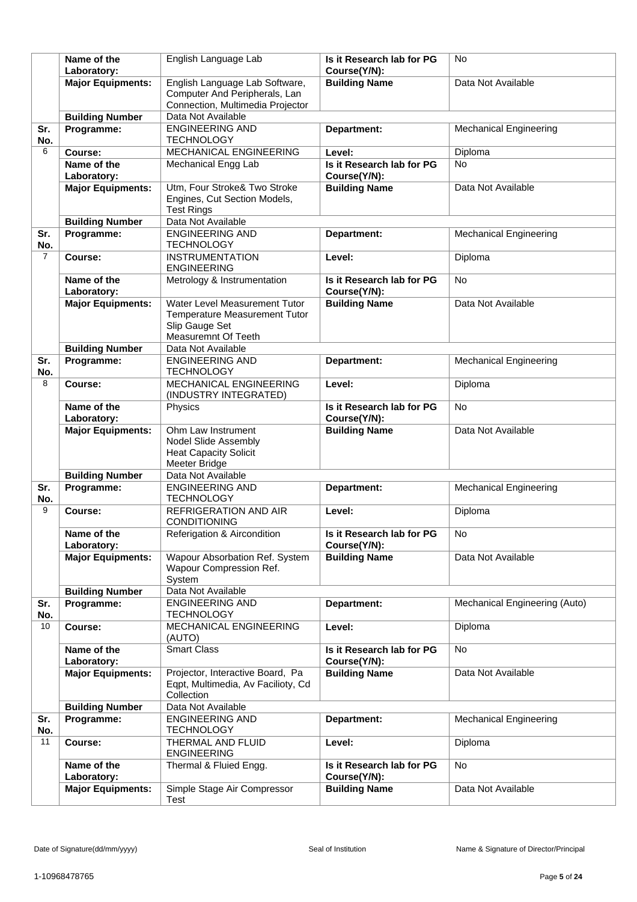|                | Name of the<br>Laboratory: | English Language Lab                            | Is it Research lab for PG<br>Course(Y/N): | <b>No</b>                     |
|----------------|----------------------------|-------------------------------------------------|-------------------------------------------|-------------------------------|
|                | <b>Major Equipments:</b>   | English Language Lab Software,                  | <b>Building Name</b>                      | Data Not Available            |
|                |                            | Computer And Peripherals, Lan                   |                                           |                               |
|                |                            | Connection, Multimedia Projector                |                                           |                               |
|                | <b>Building Number</b>     | Data Not Available                              |                                           |                               |
| Sr.            | Programme:                 | <b>ENGINEERING AND</b>                          | Department:                               | <b>Mechanical Engineering</b> |
| No.            |                            | <b>TECHNOLOGY</b>                               |                                           |                               |
| 6              | Course:                    | MECHANICAL ENGINEERING                          | Level:                                    | Diploma                       |
|                | Name of the                | Mechanical Engg Lab                             | Is it Research lab for PG                 | <b>No</b>                     |
|                | Laboratory:                |                                                 | Course(Y/N):                              |                               |
|                | <b>Major Equipments:</b>   | Utm, Four Stroke& Two Stroke                    | <b>Building Name</b>                      | Data Not Available            |
|                |                            | Engines, Cut Section Models,                    |                                           |                               |
|                |                            | <b>Test Rings</b>                               |                                           |                               |
|                | <b>Building Number</b>     | Data Not Available                              |                                           |                               |
| Sr.            | Programme:                 | <b>ENGINEERING AND</b>                          | Department:                               | <b>Mechanical Engineering</b> |
| No.            |                            | <b>TECHNOLOGY</b>                               |                                           |                               |
| $\overline{7}$ | Course:                    | <b>INSTRUMENTATION</b>                          | Level:                                    | Diploma                       |
|                |                            | <b>ENGINEERING</b>                              |                                           |                               |
|                | Name of the                | Metrology & Instrumentation                     | Is it Research lab for PG                 | No                            |
|                | Laboratory:                |                                                 | Course(Y/N):                              |                               |
|                | <b>Major Equipments:</b>   | <b>Water Level Measurement Tutor</b>            | <b>Building Name</b>                      | Data Not Available            |
|                |                            | <b>Temperature Measurement Tutor</b>            |                                           |                               |
|                |                            | Slip Gauge Set                                  |                                           |                               |
|                |                            | Measuremnt Of Teeth                             |                                           |                               |
|                | <b>Building Number</b>     | Data Not Available                              |                                           |                               |
| Sr.            | Programme:                 | <b>ENGINEERING AND</b>                          | Department:                               | <b>Mechanical Engineering</b> |
| No.<br>8       |                            | <b>TECHNOLOGY</b>                               |                                           |                               |
|                | Course:                    | MECHANICAL ENGINEERING<br>(INDUSTRY INTEGRATED) | Level:                                    | Diploma                       |
|                | Name of the                | Physics                                         | Is it Research lab for PG                 | <b>No</b>                     |
|                | Laboratory:                |                                                 | Course(Y/N):                              |                               |
|                | <b>Major Equipments:</b>   | Ohm Law Instrument                              | <b>Building Name</b>                      | Data Not Available            |
|                |                            | Nodel Slide Assembly                            |                                           |                               |
|                |                            | <b>Heat Capacity Solicit</b>                    |                                           |                               |
|                |                            | Meeter Bridge                                   |                                           |                               |
|                | <b>Building Number</b>     | Data Not Available                              |                                           |                               |
| Sr.            | Programme:                 | <b>ENGINEERING AND</b>                          | Department:                               | <b>Mechanical Engineering</b> |
| No.            |                            | <b>TECHNOLOGY</b>                               |                                           |                               |
| 9              | Course:                    | REFRIGERATION AND AIR                           | Level:                                    | Diploma                       |
|                |                            | <b>CONDITIONING</b>                             |                                           |                               |
|                | Name of the                | Referigation & Aircondition                     | Is it Research lab for PG                 | No                            |
|                | Laboratory:                |                                                 | Course(Y/N):                              |                               |
|                | <b>Major Equipments:</b>   | Wapour Absorbation Ref. System                  | <b>Building Name</b>                      | Data Not Available            |
|                |                            | Wapour Compression Ref.                         |                                           |                               |
|                | <b>Building Number</b>     | System<br>Data Not Available                    |                                           |                               |
| Sr.            | Programme:                 | <b>ENGINEERING AND</b>                          | Department:                               | Mechanical Engineering (Auto) |
| No.            |                            | <b>TECHNOLOGY</b>                               |                                           |                               |
| 10             | Course:                    | MECHANICAL ENGINEERING                          | Level:                                    | Diploma                       |
|                |                            | (AUTO)                                          |                                           |                               |
|                | Name of the                | <b>Smart Class</b>                              | Is it Research lab for PG                 | <b>No</b>                     |
|                | Laboratory:                |                                                 | Course(Y/N):                              |                               |
|                | <b>Major Equipments:</b>   | Projector, Interactive Board, Pa                | <b>Building Name</b>                      | Data Not Available            |
|                |                            | Eqpt, Multimedia, Av Facilioty, Cd              |                                           |                               |
|                |                            | Collection                                      |                                           |                               |
|                | <b>Building Number</b>     | Data Not Available                              |                                           |                               |
| Sr.            | Programme:                 | <b>ENGINEERING AND</b>                          | Department:                               | <b>Mechanical Engineering</b> |
| No.            |                            | <b>TECHNOLOGY</b>                               |                                           |                               |
| 11             | Course:                    | THERMAL AND FLUID                               | Level:                                    | Diploma                       |
|                |                            | <b>ENGINEERING</b>                              |                                           |                               |
|                | Name of the                | Thermal & Fluied Engg.                          | Is it Research lab for PG                 | <b>No</b>                     |
|                | Laboratory:                |                                                 | Course(Y/N):                              |                               |
|                | <b>Major Equipments:</b>   | Simple Stage Air Compressor                     | <b>Building Name</b>                      | Data Not Available            |
|                |                            | Test                                            |                                           |                               |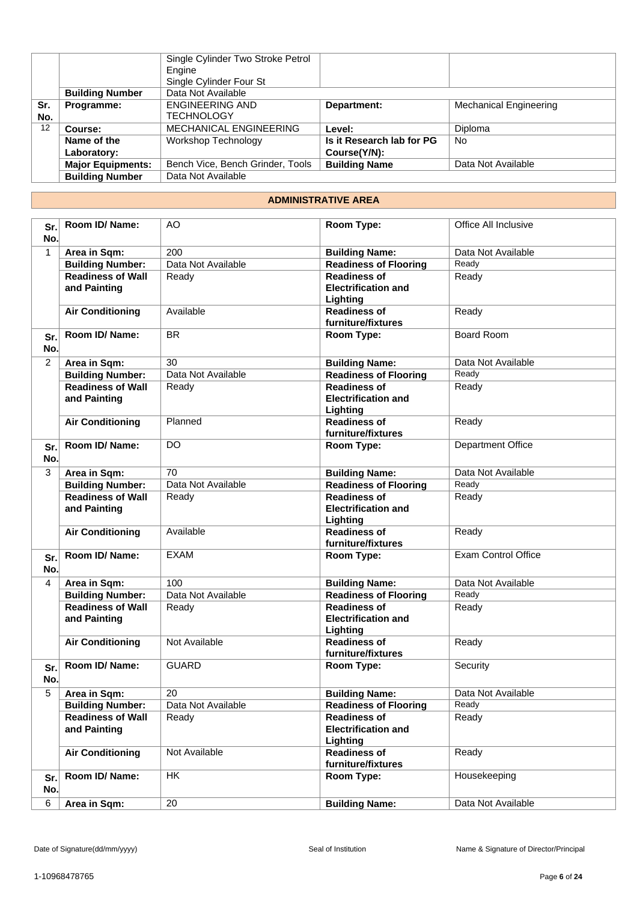|     |                          | Single Cylinder Two Stroke Petrol |                           |                               |
|-----|--------------------------|-----------------------------------|---------------------------|-------------------------------|
|     |                          | Engine                            |                           |                               |
|     |                          | Single Cylinder Four St           |                           |                               |
|     | <b>Building Number</b>   | Data Not Available                |                           |                               |
| Sr. | Programme:               | <b>ENGINEERING AND</b>            | Department:               | <b>Mechanical Engineering</b> |
| No. |                          | TECHNOLOGY                        |                           |                               |
| 12  | Course:                  | MECHANICAL ENGINEERING            | Level:                    | <b>Diploma</b>                |
|     | Name of the              | <b>Workshop Technology</b>        | Is it Research lab for PG | No                            |
|     | Laboratory:              |                                   | Course(Y/N):              |                               |
|     | <b>Major Equipments:</b> | Bench Vice, Bench Grinder, Tools  | <b>Building Name</b>      | Data Not Available            |
|     | <b>Building Number</b>   | Data Not Available                |                           |                               |

### **ADMINISTRATIVE AREA**

| Sr.<br>No.     | <b>Room ID/ Name:</b>                    | AO                 | Room Type:                                                    | Office All Inclusive       |
|----------------|------------------------------------------|--------------------|---------------------------------------------------------------|----------------------------|
| 1              | Area in Sqm:                             | 200                | <b>Building Name:</b>                                         | Data Not Available         |
|                | <b>Building Number:</b>                  | Data Not Available | <b>Readiness of Flooring</b>                                  | Ready                      |
|                | <b>Readiness of Wall</b><br>and Painting | Ready              | <b>Readiness of</b><br><b>Electrification and</b><br>Lighting | Ready                      |
|                | <b>Air Conditioning</b>                  | Available          | <b>Readiness of</b><br>furniture/fixtures                     | Ready                      |
| Sr.<br>No.     | Room ID/Name:                            | <b>BR</b>          | Room Type:                                                    | <b>Board Room</b>          |
| $\overline{2}$ | Area in Sqm:                             | 30                 | <b>Building Name:</b>                                         | Data Not Available         |
|                | <b>Building Number:</b>                  | Data Not Available | <b>Readiness of Flooring</b>                                  | Ready                      |
|                | <b>Readiness of Wall</b><br>and Painting | Ready              | <b>Readiness of</b><br><b>Electrification and</b><br>Lighting | Ready                      |
|                | <b>Air Conditioning</b>                  | Planned            | <b>Readiness of</b><br>furniture/fixtures                     | Ready                      |
| Sr.<br>No.     | Room ID/Name:                            | <b>DO</b>          | Room Type:                                                    | <b>Department Office</b>   |
| 3              | Area in Sqm:                             | 70                 | <b>Building Name:</b>                                         | Data Not Available         |
|                | <b>Building Number:</b>                  | Data Not Available | <b>Readiness of Flooring</b>                                  | Ready                      |
|                | <b>Readiness of Wall</b><br>and Painting | Ready              | <b>Readiness of</b><br><b>Electrification and</b><br>Lighting | Ready                      |
|                | <b>Air Conditioning</b>                  | Available          | <b>Readiness of</b><br>furniture/fixtures                     | Ready                      |
| Sr.<br>No.     | Room ID/Name:                            | <b>EXAM</b>        | Room Type:                                                    | <b>Exam Control Office</b> |
| $\overline{4}$ | Area in Sqm:                             | 100                | <b>Building Name:</b>                                         | Data Not Available         |
|                | <b>Building Number:</b>                  | Data Not Available | Readiness of Flooring                                         | Ready                      |
|                | <b>Readiness of Wall</b><br>and Painting | Ready              | <b>Readiness of</b><br><b>Electrification and</b><br>Lighting | Ready                      |
|                | <b>Air Conditioning</b>                  | Not Available      | <b>Readiness of</b><br>furniture/fixtures                     | Ready                      |
| Sr.<br>No.     | Room ID/ Name:                           | <b>GUARD</b>       | Room Type:                                                    | Security                   |
| 5              | Area in Sqm:                             | 20                 | <b>Building Name:</b>                                         | Data Not Available         |
|                | <b>Building Number:</b>                  | Data Not Available | <b>Readiness of Flooring</b>                                  | Ready                      |
|                | <b>Readiness of Wall</b><br>and Painting | Ready              | <b>Readiness of</b><br><b>Electrification and</b><br>Lighting | Ready                      |
|                | <b>Air Conditioning</b>                  | Not Available      | <b>Readiness of</b><br>furniture/fixtures                     | Ready                      |
| Sr.<br>No.     | Room ID/ Name:                           | HK                 | Room Type:                                                    | Housekeeping               |
| 6              | Area in Sqm:                             | 20                 | <b>Building Name:</b>                                         | Data Not Available         |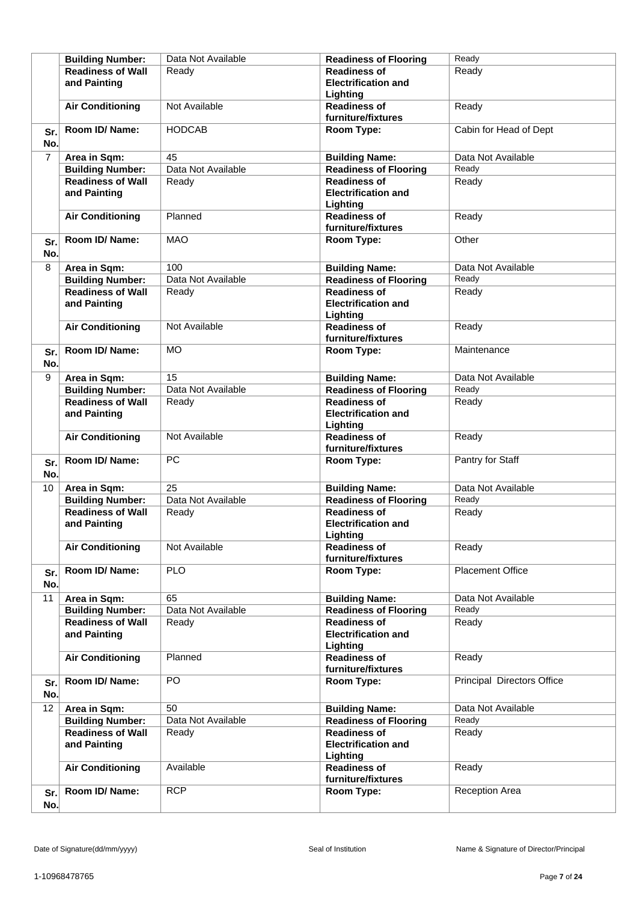|                 | <b>Building Number:</b>  | Data Not Available | <b>Readiness of Flooring</b> | Ready                      |
|-----------------|--------------------------|--------------------|------------------------------|----------------------------|
|                 | <b>Readiness of Wall</b> | Ready              | <b>Readiness of</b>          | Ready                      |
|                 | and Painting             |                    | <b>Electrification and</b>   |                            |
|                 |                          |                    | Lighting                     |                            |
|                 | <b>Air Conditioning</b>  | Not Available      | <b>Readiness of</b>          | Ready                      |
|                 |                          |                    | furniture/fixtures           |                            |
| Sr.             | Room ID/Name:            | <b>HODCAB</b>      | Room Type:                   | Cabin for Head of Dept     |
| No.             |                          |                    |                              |                            |
| $\overline{7}$  | Area in Sqm:             | 45                 | <b>Building Name:</b>        | Data Not Available         |
|                 | <b>Building Number:</b>  | Data Not Available | <b>Readiness of Flooring</b> | Ready                      |
|                 | <b>Readiness of Wall</b> | Ready              | <b>Readiness of</b>          | Ready                      |
|                 | and Painting             |                    | <b>Electrification and</b>   |                            |
|                 |                          |                    | Lighting                     |                            |
|                 | <b>Air Conditioning</b>  | Planned            | <b>Readiness of</b>          | Ready                      |
|                 |                          |                    | furniture/fixtures           |                            |
| Sr.             | Room ID/Name:            | <b>MAO</b>         | Room Type:                   | Other                      |
| No.             |                          |                    |                              |                            |
| 8               | Area in Sqm:             | 100                | <b>Building Name:</b>        | Data Not Available         |
|                 | <b>Building Number:</b>  | Data Not Available | <b>Readiness of Flooring</b> | Ready                      |
|                 | <b>Readiness of Wall</b> | Ready              | <b>Readiness of</b>          | Ready                      |
|                 | and Painting             |                    | <b>Electrification and</b>   |                            |
|                 |                          |                    | Lighting                     |                            |
|                 | <b>Air Conditioning</b>  | Not Available      | <b>Readiness of</b>          | Ready                      |
|                 |                          |                    | furniture/fixtures           |                            |
| Sr.             | Room ID/ Name:           | <b>MO</b>          | Room Type:                   | Maintenance                |
| No.             |                          |                    |                              |                            |
| 9               | Area in Sqm:             | 15                 | <b>Building Name:</b>        | Data Not Available         |
|                 | <b>Building Number:</b>  | Data Not Available | <b>Readiness of Flooring</b> | Ready                      |
|                 | <b>Readiness of Wall</b> | Ready              | <b>Readiness of</b>          | Ready                      |
|                 | and Painting             |                    | <b>Electrification and</b>   |                            |
|                 |                          |                    | Lighting                     |                            |
|                 | <b>Air Conditioning</b>  | Not Available      | <b>Readiness of</b>          | Ready                      |
|                 |                          |                    | furniture/fixtures           |                            |
| Sr.             | Room ID/Name:            | <b>PC</b>          | Room Type:                   | Pantry for Staff           |
| No.             |                          |                    |                              |                            |
| 10              | Area in Sqm:             | 25                 | <b>Building Name:</b>        | Data Not Available         |
|                 | <b>Building Number:</b>  | Data Not Available | <b>Readiness of Flooring</b> | Ready                      |
|                 | <b>Readiness of Wall</b> | Ready              | <b>Readiness of</b>          | Ready                      |
|                 | and Painting             |                    | <b>Electrification and</b>   |                            |
|                 |                          |                    | Lighting                     |                            |
|                 | <b>Air Conditioning</b>  | Not Available      | <b>Readiness of</b>          | Ready                      |
|                 |                          |                    | furniture/fixtures           |                            |
| Sr.             | Room ID/Name:            | PLO                | Room Type:                   | <b>Placement Office</b>    |
| No.             |                          |                    |                              |                            |
| 11              | Area in Sqm:             | 65                 | <b>Building Name:</b>        | Data Not Available         |
|                 | <b>Building Number:</b>  | Data Not Available | <b>Readiness of Flooring</b> | Ready                      |
|                 | <b>Readiness of Wall</b> | Ready              | <b>Readiness of</b>          | Ready                      |
|                 | and Painting             |                    | <b>Electrification and</b>   |                            |
|                 |                          |                    | Lighting                     |                            |
|                 | <b>Air Conditioning</b>  | Planned            | <b>Readiness of</b>          | Ready                      |
|                 |                          |                    | furniture/fixtures           |                            |
| Sr.             | Room ID/ Name:           | PO                 | Room Type:                   | Principal Directors Office |
| No.             |                          |                    |                              |                            |
| $\overline{12}$ | Area in Sqm:             | 50                 | <b>Building Name:</b>        | Data Not Available         |
|                 | <b>Building Number:</b>  | Data Not Available | <b>Readiness of Flooring</b> | Ready                      |
|                 | <b>Readiness of Wall</b> | Ready              | <b>Readiness of</b>          | Ready                      |
|                 | and Painting             |                    | <b>Electrification and</b>   |                            |
|                 |                          |                    | Lighting                     |                            |
|                 | <b>Air Conditioning</b>  | Available          | <b>Readiness of</b>          | Ready                      |
|                 |                          |                    | furniture/fixtures           |                            |
| Sr.             | Room ID/ Name:           | <b>RCP</b>         | Room Type:                   | <b>Reception Area</b>      |
| No.             |                          |                    |                              |                            |
|                 |                          |                    |                              |                            |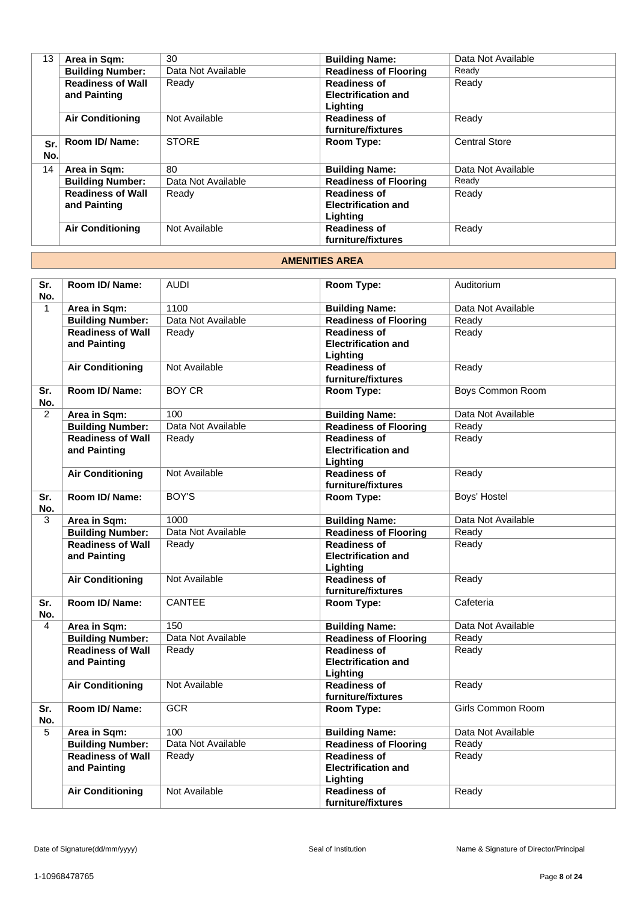| 13   | Area in Sqm:             | 30                 | <b>Building Name:</b>        | Data Not Available   |
|------|--------------------------|--------------------|------------------------------|----------------------|
|      | <b>Building Number:</b>  | Data Not Available | <b>Readiness of Flooring</b> | Ready                |
|      | <b>Readiness of Wall</b> | Ready              | <b>Readiness of</b>          | Ready                |
|      | and Painting             |                    | <b>Electrification and</b>   |                      |
|      |                          |                    | Lighting                     |                      |
|      | <b>Air Conditioning</b>  | Not Available      | <b>Readiness of</b>          | Ready                |
|      |                          |                    | furniture/fixtures           |                      |
| Sr.l | Room ID/Name:            | <b>STORE</b>       | <b>Room Type:</b>            | <b>Central Store</b> |
| No.  |                          |                    |                              |                      |
| 14   | Area in Sqm:             | 80                 | <b>Building Name:</b>        | Data Not Available   |
|      | <b>Building Number:</b>  | Data Not Available | <b>Readiness of Flooring</b> | Ready                |
|      | <b>Readiness of Wall</b> | Ready              | <b>Readiness of</b>          | Ready                |
|      | and Painting             |                    | <b>Electrification and</b>   |                      |
|      |                          |                    | Lighting                     |                      |
|      | <b>Air Conditioning</b>  | Not Available      | <b>Readiness of</b>          | Ready                |
|      |                          |                    | furniture/fixtures           |                      |
|      |                          |                    |                              |                      |

### **AMENITIES AREA**

| Sr.<br>No.     | Room ID/Name:                            | <b>AUDI</b>        | Room Type:                                                    | Auditorium              |
|----------------|------------------------------------------|--------------------|---------------------------------------------------------------|-------------------------|
| 1              | Area in Sqm:                             | 1100               | <b>Building Name:</b>                                         | Data Not Available      |
|                | <b>Building Number:</b>                  | Data Not Available | <b>Readiness of Flooring</b>                                  | Ready                   |
|                | <b>Readiness of Wall</b><br>and Painting | Ready              | <b>Readiness of</b><br><b>Electrification and</b><br>Lighting | Ready                   |
|                | <b>Air Conditioning</b>                  | Not Available      | <b>Readiness of</b><br>furniture/fixtures                     | Ready                   |
| Sr.<br>No.     | Room ID/Name:                            | <b>BOY CR</b>      | Room Type:                                                    | <b>Boys Common Room</b> |
| $\overline{2}$ | Area in Sqm:                             | 100                | <b>Building Name:</b>                                         | Data Not Available      |
|                | <b>Building Number:</b>                  | Data Not Available | <b>Readiness of Flooring</b>                                  | Ready                   |
|                | <b>Readiness of Wall</b><br>and Painting | Ready              | <b>Readiness of</b><br><b>Electrification and</b><br>Lighting | Ready                   |
|                | <b>Air Conditioning</b>                  | Not Available      | <b>Readiness of</b><br>furniture/fixtures                     | Ready                   |
| Sr.<br>No.     | Room ID/ Name:                           | <b>BOY'S</b>       | Room Type:                                                    | Boys' Hostel            |
| 3              | Area in Sqm:                             | 1000               | <b>Building Name:</b>                                         | Data Not Available      |
|                | <b>Building Number:</b>                  | Data Not Available | <b>Readiness of Flooring</b>                                  | Ready                   |
|                | <b>Readiness of Wall</b><br>and Painting | Ready              | <b>Readiness of</b><br><b>Electrification and</b><br>Lighting | Ready                   |
|                | <b>Air Conditioning</b>                  | Not Available      | <b>Readiness of</b><br>furniture/fixtures                     | Ready                   |
| Sr.<br>No.     | Room ID/ Name:                           | <b>CANTEE</b>      | Room Type:                                                    | Cafeteria               |
| 4              | Area in Sqm:                             | 150                | <b>Building Name:</b>                                         | Data Not Available      |
|                | <b>Building Number:</b>                  | Data Not Available | Readiness of Flooring                                         | Ready                   |
|                | <b>Readiness of Wall</b><br>and Painting | Ready              | <b>Readiness of</b><br><b>Electrification and</b><br>Lighting | Ready                   |
|                | <b>Air Conditioning</b>                  | Not Available      | <b>Readiness of</b><br>furniture/fixtures                     | Ready                   |
| Sr.<br>No.     | Room ID/Name:                            | <b>GCR</b>         | Room Type:                                                    | Girls Common Room       |
| 5              | Area in Sqm:                             | 100                | <b>Building Name:</b>                                         | Data Not Available      |
|                | <b>Building Number:</b>                  | Data Not Available | <b>Readiness of Flooring</b>                                  | Ready                   |
|                | <b>Readiness of Wall</b><br>and Painting | Ready              | <b>Readiness of</b><br><b>Electrification and</b><br>Lighting | Ready                   |
|                | <b>Air Conditioning</b>                  | Not Available      | <b>Readiness of</b><br>furniture/fixtures                     | Ready                   |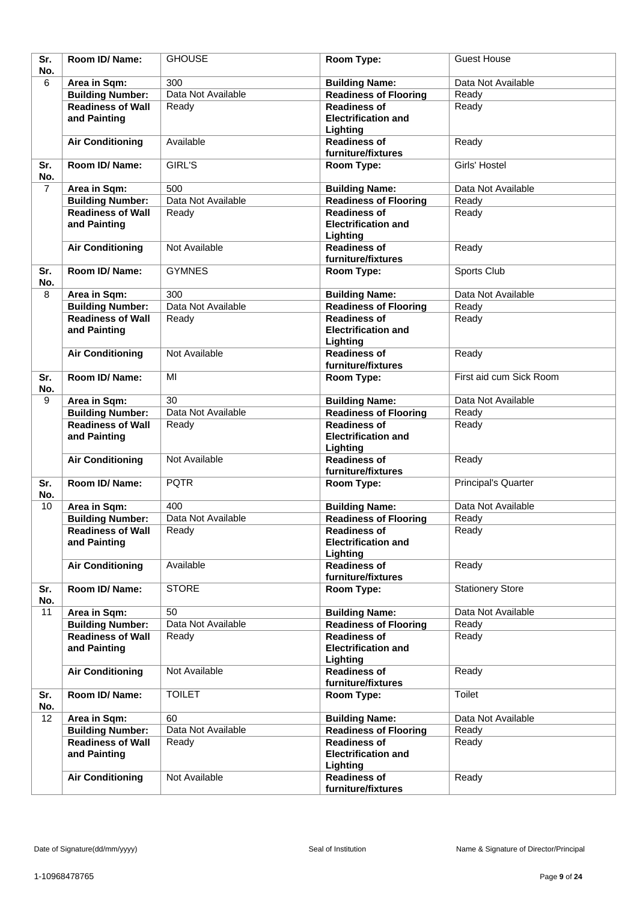| Sr.<br>No.     | Room ID/Name:                            | <b>GHOUSE</b>      | Room Type:                                                    | <b>Guest House</b>         |
|----------------|------------------------------------------|--------------------|---------------------------------------------------------------|----------------------------|
| 6              | Area in Sqm:                             | 300                | <b>Building Name:</b>                                         | Data Not Available         |
|                | <b>Building Number:</b>                  | Data Not Available | <b>Readiness of Flooring</b>                                  | Ready                      |
|                | <b>Readiness of Wall</b>                 | Ready              | <b>Readiness of</b>                                           | Ready                      |
|                | and Painting                             |                    | <b>Electrification and</b><br>Lighting                        |                            |
|                | <b>Air Conditioning</b>                  | Available          | <b>Readiness of</b><br>furniture/fixtures                     | Ready                      |
| Sr.<br>No.     | Room ID/ Name:                           | GIRL'S             | Room Type:                                                    | Girls' Hostel              |
| $\overline{7}$ | Area in Sqm:                             | 500                | <b>Building Name:</b>                                         | Data Not Available         |
|                | <b>Building Number:</b>                  | Data Not Available | <b>Readiness of Flooring</b>                                  | Ready                      |
|                | <b>Readiness of Wall</b>                 | Ready              | <b>Readiness of</b>                                           | Ready                      |
|                | and Painting                             |                    | <b>Electrification and</b><br>Lighting                        |                            |
|                | <b>Air Conditioning</b>                  | Not Available      | <b>Readiness of</b><br>furniture/fixtures                     | Ready                      |
| Sr.<br>No.     | Room ID/ Name:                           | <b>GYMNES</b>      | Room Type:                                                    | Sports Club                |
| 8              | Area in Sqm:                             | 300                | <b>Building Name:</b>                                         | Data Not Available         |
|                | <b>Building Number:</b>                  | Data Not Available | <b>Readiness of Flooring</b>                                  | Ready                      |
|                | <b>Readiness of Wall</b><br>and Painting | Ready              | <b>Readiness of</b><br><b>Electrification and</b><br>Lighting | Ready                      |
|                | <b>Air Conditioning</b>                  | Not Available      | <b>Readiness of</b><br>furniture/fixtures                     | Ready                      |
| Sr.<br>No.     | Room ID/ Name:                           | MI                 | Room Type:                                                    | First aid cum Sick Room    |
| 9              | Area in Sqm:                             | 30                 | <b>Building Name:</b>                                         | Data Not Available         |
|                | <b>Building Number:</b>                  | Data Not Available | <b>Readiness of Flooring</b>                                  | Ready                      |
|                | <b>Readiness of Wall</b><br>and Painting | Ready              | <b>Readiness of</b><br><b>Electrification and</b>             | Ready                      |
|                | <b>Air Conditioning</b>                  | Not Available      | Lighting<br><b>Readiness of</b><br>furniture/fixtures         | Ready                      |
| Sr.<br>No.     | Room ID/Name:                            | <b>PQTR</b>        | Room Type:                                                    | <b>Principal's Quarter</b> |
| 10             | Area in Sqm:                             | 400                | <b>Building Name:</b>                                         | Data Not Available         |
|                | <b>Building Number:</b>                  | Data Not Available | <b>Readiness of Flooring</b>                                  | Ready                      |
|                | <b>Readiness of Wall</b><br>and Painting | Ready              | <b>Readiness of</b><br><b>Electrification and</b><br>Lighting | Ready                      |
|                | <b>Air Conditioning</b>                  | Available          | <b>Readiness of</b><br>furniture/fixtures                     | Ready                      |
| Sr.<br>No.     | Room ID/ Name:                           | <b>STORE</b>       | Room Type:                                                    | <b>Stationery Store</b>    |
| 11             | Area in Sqm:                             | 50                 | <b>Building Name:</b>                                         | Data Not Available         |
|                | <b>Building Number:</b>                  | Data Not Available | <b>Readiness of Flooring</b>                                  | Ready                      |
|                | <b>Readiness of Wall</b><br>and Painting | Ready              | <b>Readiness of</b><br><b>Electrification and</b><br>Lighting | Ready                      |
|                | <b>Air Conditioning</b>                  | Not Available      | <b>Readiness of</b><br>furniture/fixtures                     | Ready                      |
| Sr.<br>No.     | Room ID/ Name:                           | <b>TOILET</b>      | Room Type:                                                    | Toilet                     |
| 12             | Area in Sqm:                             | 60                 | <b>Building Name:</b>                                         | Data Not Available         |
|                | <b>Building Number:</b>                  | Data Not Available | <b>Readiness of Flooring</b>                                  | Ready                      |
|                | <b>Readiness of Wall</b><br>and Painting | Ready              | <b>Readiness of</b><br><b>Electrification and</b><br>Lighting | Ready                      |
|                | <b>Air Conditioning</b>                  | Not Available      | <b>Readiness of</b><br>furniture/fixtures                     | Ready                      |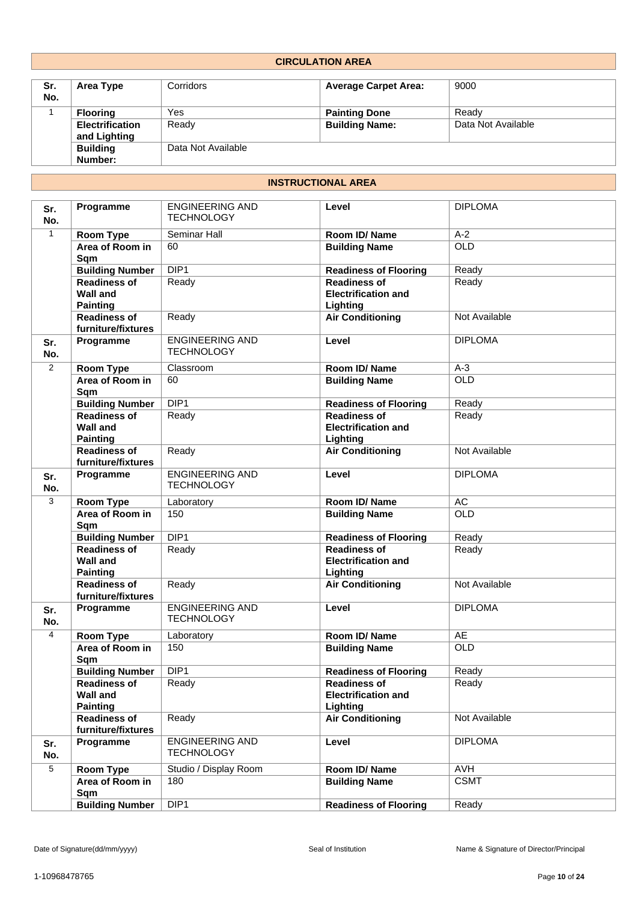#### **CIRCULATION AREA**

| Sr.<br>No. | Area Type                              | Corridors          | <b>Average Carpet Area:</b> | 9000               |
|------------|----------------------------------------|--------------------|-----------------------------|--------------------|
|            | <b>Flooring</b>                        | Yes                | <b>Painting Done</b>        | Ready              |
|            | <b>Electrification</b><br>and Lighting | Ready              | <b>Building Name:</b>       | Data Not Available |
|            | <b>Building</b>                        | Data Not Available |                             |                    |
|            | Number:                                |                    |                             |                    |

### **INSTRUCTIONAL AREA**

| Sr.<br>No.     | Programme                                                 | <b>ENGINEERING AND</b><br><b>TECHNOLOGY</b> | Level                                                         | <b>DIPLOMA</b> |
|----------------|-----------------------------------------------------------|---------------------------------------------|---------------------------------------------------------------|----------------|
| $\mathbf{1}$   | <b>Room Type</b>                                          | Seminar Hall                                | Room ID/Name                                                  | $A-2$          |
|                | Area of Room in<br>Sqm                                    | 60                                          | <b>Building Name</b>                                          | OLD            |
|                | <b>Building Number</b>                                    | DIP <sub>1</sub>                            | <b>Readiness of Flooring</b>                                  | Ready          |
|                | <b>Readiness of</b>                                       | Ready                                       | <b>Readiness of</b>                                           | Ready          |
|                | <b>Wall and</b><br><b>Painting</b>                        |                                             | <b>Electrification and</b><br>Lighting                        |                |
|                | <b>Readiness of</b><br>furniture/fixtures                 | Ready                                       | <b>Air Conditioning</b>                                       | Not Available  |
| Sr.<br>No.     | Programme                                                 | <b>ENGINEERING AND</b><br><b>TECHNOLOGY</b> | Level                                                         | <b>DIPLOMA</b> |
| 2              | <b>Room Type</b>                                          | Classroom                                   | Room ID/Name                                                  | $A-3$          |
|                | Area of Room in<br>Sqm                                    | 60                                          | <b>Building Name</b>                                          | OLD            |
|                | <b>Building Number</b>                                    | DIP <sub>1</sub>                            | <b>Readiness of Flooring</b>                                  | Ready          |
|                | <b>Readiness of</b><br><b>Wall and</b><br><b>Painting</b> | Ready                                       | <b>Readiness of</b><br><b>Electrification and</b><br>Lighting | Ready          |
|                | <b>Readiness of</b><br>furniture/fixtures                 | Ready                                       | <b>Air Conditioning</b>                                       | Not Available  |
| Sr.<br>No.     | Programme                                                 | <b>ENGINEERING AND</b><br><b>TECHNOLOGY</b> | Level                                                         | <b>DIPLOMA</b> |
| 3              | <b>Room Type</b>                                          | Laboratory                                  | Room ID/ Name                                                 | AC             |
|                | Area of Room in<br>Sqm                                    | 150                                         | <b>Building Name</b>                                          | OLD            |
|                | <b>Building Number</b>                                    | DIP <sub>1</sub>                            | <b>Readiness of Flooring</b>                                  | Ready          |
|                | <b>Readiness of</b><br><b>Wall and</b><br><b>Painting</b> | Ready                                       | <b>Readiness of</b><br><b>Electrification and</b><br>Lighting | Ready          |
|                | <b>Readiness of</b><br>furniture/fixtures                 | Ready                                       | <b>Air Conditioning</b>                                       | Not Available  |
| Sr.<br>No.     | Programme                                                 | <b>ENGINEERING AND</b><br><b>TECHNOLOGY</b> | Level                                                         | <b>DIPLOMA</b> |
| 4              | <b>Room Type</b>                                          | Laboratory                                  | Room ID/Name                                                  | <b>AE</b>      |
|                | Area of Room in<br>Sqm                                    | 150                                         | <b>Building Name</b>                                          | OLD            |
|                | <b>Building Number</b>                                    | DIP <sub>1</sub>                            | <b>Readiness of Flooring</b>                                  | Ready          |
|                | <b>Readiness of</b><br><b>Wall and</b><br><b>Painting</b> | Ready                                       | <b>Readiness of</b><br><b>Electrification and</b><br>Lighting | Ready          |
|                | <b>Readiness of</b><br>furniture/fixtures                 | Ready                                       | <b>Air Conditioning</b>                                       | Not Available  |
| Sr.<br>No.     | Programme                                                 | <b>ENGINEERING AND</b><br><b>TECHNOLOGY</b> | Level                                                         | <b>DIPLOMA</b> |
| $\overline{5}$ | Room Type                                                 | Studio / Display Room                       | Room ID/Name                                                  | <b>AVH</b>     |
|                | Area of Room in<br>Sqm                                    | 180                                         | <b>Building Name</b>                                          | <b>CSMT</b>    |
|                | <b>Building Number</b>                                    | DIP <sub>1</sub>                            | <b>Readiness of Flooring</b>                                  | Ready          |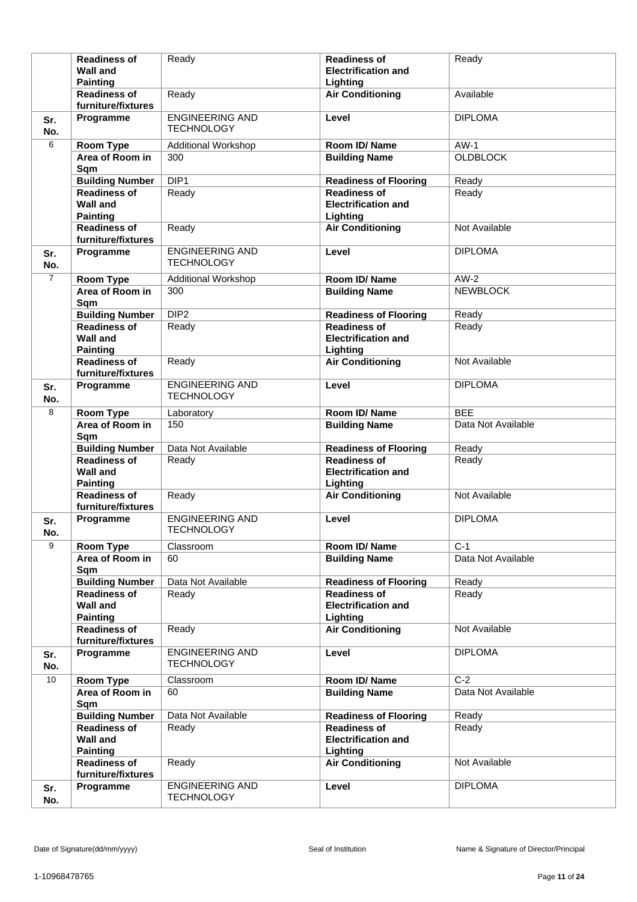|                | <b>Readiness of</b><br><b>Wall and</b><br><b>Painting</b> | Ready                                       | <b>Readiness of</b><br><b>Electrification and</b><br>Lighting | Ready              |
|----------------|-----------------------------------------------------------|---------------------------------------------|---------------------------------------------------------------|--------------------|
|                | <b>Readiness of</b><br>furniture/fixtures                 | Ready                                       | <b>Air Conditioning</b>                                       | Available          |
| Sr.<br>No.     | Programme                                                 | <b>ENGINEERING AND</b><br><b>TECHNOLOGY</b> | Level                                                         | <b>DIPLOMA</b>     |
| 6              | <b>Room Type</b>                                          | <b>Additional Workshop</b>                  | Room ID/Name                                                  | AW-1               |
|                | Area of Room in<br>Sqm                                    | 300                                         | <b>Building Name</b>                                          | <b>OLDBLOCK</b>    |
|                | <b>Building Number</b>                                    | DIP <sub>1</sub>                            | <b>Readiness of Flooring</b>                                  | Ready              |
|                | <b>Readiness of</b><br><b>Wall and</b><br><b>Painting</b> | Ready                                       | <b>Readiness of</b><br><b>Electrification and</b><br>Lighting | Ready              |
|                | <b>Readiness of</b><br>furniture/fixtures                 | Ready                                       | <b>Air Conditioning</b>                                       | Not Available      |
| Sr.<br>No.     | Programme                                                 | <b>ENGINEERING AND</b><br><b>TECHNOLOGY</b> | Level                                                         | <b>DIPLOMA</b>     |
| $\overline{7}$ | <b>Room Type</b>                                          | Additional Workshop                         | Room ID/Name                                                  | $AW-2$             |
|                | Area of Room in<br>Sqm                                    | 300                                         | <b>Building Name</b>                                          | <b>NEWBLOCK</b>    |
|                | <b>Building Number</b>                                    | DIP <sub>2</sub>                            | <b>Readiness of Flooring</b>                                  | Ready              |
|                | <b>Readiness of</b><br><b>Wall and</b><br><b>Painting</b> | Ready                                       | <b>Readiness of</b><br><b>Electrification and</b><br>Lighting | Ready              |
|                | <b>Readiness of</b><br>furniture/fixtures                 | Ready                                       | <b>Air Conditioning</b>                                       | Not Available      |
| Sr.<br>No.     | Programme                                                 | <b>ENGINEERING AND</b><br><b>TECHNOLOGY</b> | Level                                                         | <b>DIPLOMA</b>     |
| 8              | <b>Room Type</b>                                          | Laboratory                                  | Room ID/Name                                                  | <b>BEE</b>         |
|                | Area of Room in<br>Sqm                                    | 150                                         | <b>Building Name</b>                                          | Data Not Available |
|                | <b>Building Number</b>                                    | Data Not Available                          | <b>Readiness of Flooring</b>                                  | Ready              |
|                | <b>Readiness of</b><br><b>Wall and</b><br><b>Painting</b> | Ready                                       | <b>Readiness of</b><br><b>Electrification and</b><br>Lighting | Ready              |
|                | <b>Readiness of</b><br>furniture/fixtures                 | Ready                                       | <b>Air Conditioning</b>                                       | Not Available      |
| Sr.<br>No.     | Programme                                                 | <b>ENGINEERING AND</b><br><b>TECHNOLOGY</b> | Level                                                         | <b>DIPLOMA</b>     |
| 9              | <b>Room Type</b>                                          | Classroom                                   | Room ID/Name                                                  | $C-1$              |
|                | Area of Room in<br>Sqm                                    | 60                                          | <b>Building Name</b>                                          | Data Not Available |
|                | <b>Building Number</b>                                    | Data Not Available                          | <b>Readiness of Flooring</b>                                  | Ready              |
|                | <b>Readiness of</b><br><b>Wall and</b><br><b>Painting</b> | Ready                                       | <b>Readiness of</b><br><b>Electrification and</b><br>Lighting | Ready              |
|                | <b>Readiness of</b><br>furniture/fixtures                 | Ready                                       | <b>Air Conditioning</b>                                       | Not Available      |
| Sr.<br>No.     | Programme                                                 | <b>ENGINEERING AND</b><br><b>TECHNOLOGY</b> | Level                                                         | <b>DIPLOMA</b>     |
| 10             | Room Type                                                 | Classroom                                   | Room ID/Name                                                  | $\overline{C-2}$   |
|                | Area of Room in<br>Sqm                                    | 60                                          | <b>Building Name</b>                                          | Data Not Available |
|                | <b>Building Number</b>                                    | Data Not Available                          | <b>Readiness of Flooring</b>                                  | Ready              |
|                | <b>Readiness of</b><br><b>Wall and</b><br><b>Painting</b> | Ready                                       | <b>Readiness of</b><br><b>Electrification and</b><br>Lighting | Ready              |
|                | <b>Readiness of</b><br>furniture/fixtures                 | Ready                                       | <b>Air Conditioning</b>                                       | Not Available      |
| Sr.<br>No.     | Programme                                                 | <b>ENGINEERING AND</b><br><b>TECHNOLOGY</b> | Level                                                         | <b>DIPLOMA</b>     |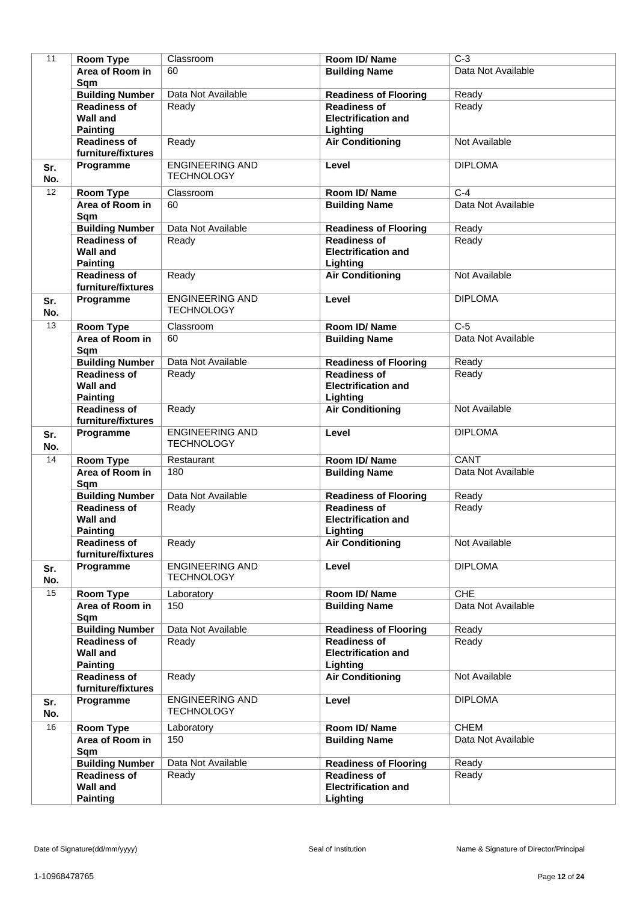| 11         | <b>Room Type</b>                          | Classroom              | Room ID/Name                        | $C-3$              |
|------------|-------------------------------------------|------------------------|-------------------------------------|--------------------|
|            | Area of Room in                           | 60                     | <b>Building Name</b>                | Data Not Available |
|            | Sqm                                       |                        |                                     |                    |
|            | <b>Building Number</b>                    | Data Not Available     | <b>Readiness of Flooring</b>        | Ready              |
|            | <b>Readiness of</b>                       | Ready                  | <b>Readiness of</b>                 | Ready              |
|            | Wall and<br><b>Painting</b>               |                        | <b>Electrification and</b>          |                    |
|            | <b>Readiness of</b>                       | Ready                  | Lighting<br><b>Air Conditioning</b> | Not Available      |
|            | furniture/fixtures                        |                        |                                     |                    |
| Sr.        | Programme                                 | <b>ENGINEERING AND</b> | Level                               | <b>DIPLOMA</b>     |
| No.        |                                           | <b>TECHNOLOGY</b>      |                                     |                    |
| 12         | <b>Room Type</b>                          | Classroom              | Room ID/Name                        | $C-4$              |
|            | Area of Room in                           | 60                     | <b>Building Name</b>                | Data Not Available |
|            | Sqm                                       |                        |                                     |                    |
|            | <b>Building Number</b>                    | Data Not Available     | <b>Readiness of Flooring</b>        | Ready              |
|            | <b>Readiness of</b>                       | Ready                  | <b>Readiness of</b>                 | Ready              |
|            | <b>Wall and</b>                           |                        | <b>Electrification and</b>          |                    |
|            | <b>Painting</b>                           |                        | Lighting                            |                    |
|            | <b>Readiness of</b><br>furniture/fixtures | Ready                  | <b>Air Conditioning</b>             | Not Available      |
|            | Programme                                 | <b>ENGINEERING AND</b> | Level                               | <b>DIPLOMA</b>     |
| Sr.<br>No. |                                           | <b>TECHNOLOGY</b>      |                                     |                    |
| 13         |                                           |                        | Room ID/Name                        | $C-5$              |
|            | <b>Room Type</b><br>Area of Room in       | Classroom<br>60        | <b>Building Name</b>                | Data Not Available |
|            | Sqm                                       |                        |                                     |                    |
|            | <b>Building Number</b>                    | Data Not Available     | <b>Readiness of Flooring</b>        | Ready              |
|            | <b>Readiness of</b>                       | Ready                  | <b>Readiness of</b>                 | Ready              |
|            | <b>Wall and</b>                           |                        | <b>Electrification and</b>          |                    |
|            | <b>Painting</b>                           |                        | Lighting                            |                    |
|            | <b>Readiness of</b>                       | Ready                  | <b>Air Conditioning</b>             | Not Available      |
|            | furniture/fixtures<br>Programme           | <b>ENGINEERING AND</b> | Level                               | <b>DIPLOMA</b>     |
| Sr.<br>No. |                                           | <b>TECHNOLOGY</b>      |                                     |                    |
| 14         | <b>Room Type</b>                          | Restaurant             | Room ID/Name                        | CANT               |
|            | Area of Room in                           | 180                    | <b>Building Name</b>                | Data Not Available |
|            | Sqm                                       |                        |                                     |                    |
|            | <b>Building Number</b>                    | Data Not Available     | <b>Readiness of Flooring</b>        | Ready              |
|            | <b>Readiness of</b>                       | Ready                  | <b>Readiness of</b>                 | Ready              |
|            | <b>Wall and</b>                           |                        | <b>Electrification and</b>          |                    |
|            | <b>Painting</b><br><b>Readiness of</b>    | Ready                  | Lighting<br><b>Air Conditioning</b> | Not Available      |
|            | furniture/fixtures                        |                        |                                     |                    |
| Sr.        | Programme                                 | <b>ENGINEERING AND</b> | Level                               | <b>DIPLOMA</b>     |
| No.        |                                           | <b>TECHNOLOGY</b>      |                                     |                    |
| 15         | <b>Room Type</b>                          | Laboratory             | Room ID/Name                        | <b>CHE</b>         |
|            | Area of Room in                           | 150                    | <b>Building Name</b>                | Data Not Available |
|            | Sqm                                       |                        |                                     |                    |
|            | <b>Building Number</b>                    | Data Not Available     | <b>Readiness of Flooring</b>        | Ready              |
|            | <b>Readiness of</b>                       | Ready                  | <b>Readiness of</b>                 | Ready              |
|            | <b>Wall and</b>                           |                        | <b>Electrification and</b>          |                    |
|            | <b>Painting</b><br><b>Readiness of</b>    | Ready                  | Lighting<br><b>Air Conditioning</b> | Not Available      |
|            | furniture/fixtures                        |                        |                                     |                    |
| Sr.        | Programme                                 | <b>ENGINEERING AND</b> | Level                               | <b>DIPLOMA</b>     |
| No.        |                                           | <b>TECHNOLOGY</b>      |                                     |                    |
| 16         | <b>Room Type</b>                          | Laboratory             | Room ID/Name                        | <b>CHEM</b>        |
|            | Area of Room in                           | 150                    | <b>Building Name</b>                | Data Not Available |
|            | Sqm                                       |                        |                                     |                    |
|            | <b>Building Number</b>                    | Data Not Available     | <b>Readiness of Flooring</b>        | Ready              |
|            | <b>Readiness of</b>                       | Ready                  | <b>Readiness of</b>                 | Ready              |
|            | <b>Wall and</b>                           |                        | <b>Electrification and</b>          |                    |
|            | <b>Painting</b>                           |                        | Lighting                            |                    |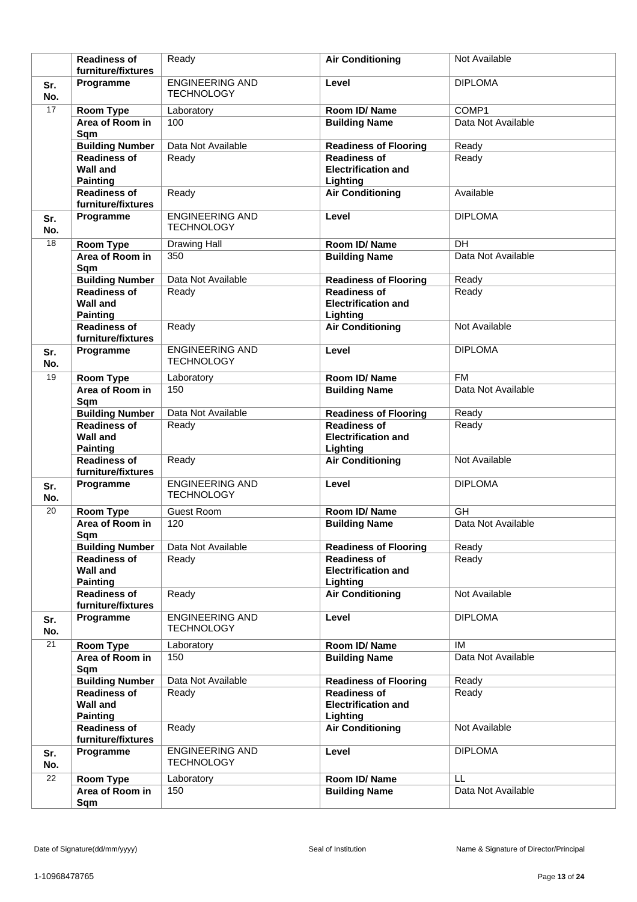|                 | <b>Readiness of</b>                                       | Ready                                       | <b>Air Conditioning</b>                                       | Not Available                   |
|-----------------|-----------------------------------------------------------|---------------------------------------------|---------------------------------------------------------------|---------------------------------|
|                 | furniture/fixtures<br>Programme                           | <b>ENGINEERING AND</b>                      | Level                                                         | <b>DIPLOMA</b>                  |
| Sr.<br>No.      |                                                           | <b>TECHNOLOGY</b>                           |                                                               |                                 |
| $\overline{17}$ | <b>Room Type</b>                                          | Laboratory                                  | Room ID/Name                                                  | COMP1                           |
|                 | Area of Room in<br>Sqm                                    | 100                                         | <b>Building Name</b>                                          | Data Not Available              |
|                 | <b>Building Number</b>                                    | Data Not Available                          | <b>Readiness of Flooring</b>                                  | Ready                           |
|                 | <b>Readiness of</b><br><b>Wall and</b>                    | Ready                                       | <b>Readiness of</b><br><b>Electrification and</b>             | Ready                           |
|                 | <b>Painting</b>                                           |                                             | Lighting                                                      |                                 |
|                 | <b>Readiness of</b>                                       | Ready                                       | <b>Air Conditioning</b>                                       | Available                       |
|                 | furniture/fixtures                                        |                                             |                                                               |                                 |
| Sr.<br>No.      | Programme                                                 | <b>ENGINEERING AND</b><br><b>TECHNOLOGY</b> | Level                                                         | <b>DIPLOMA</b>                  |
| 18              |                                                           |                                             | Room ID/Name                                                  | <b>DH</b>                       |
|                 | <b>Room Type</b><br>Area of Room in                       | <b>Drawing Hall</b><br>350                  | <b>Building Name</b>                                          | Data Not Available              |
|                 | Sqm                                                       |                                             |                                                               |                                 |
|                 | <b>Building Number</b>                                    | Data Not Available                          | <b>Readiness of Flooring</b>                                  | Ready                           |
|                 | <b>Readiness of</b>                                       | Ready                                       | <b>Readiness of</b>                                           | Ready                           |
|                 | <b>Wall and</b>                                           |                                             | <b>Electrification and</b>                                    |                                 |
|                 | <b>Painting</b><br><b>Readiness of</b>                    | Ready                                       | Lighting<br><b>Air Conditioning</b>                           | Not Available                   |
|                 | furniture/fixtures                                        |                                             |                                                               |                                 |
| Sr.             | Programme                                                 | <b>ENGINEERING AND</b><br><b>TECHNOLOGY</b> | Level                                                         | <b>DIPLOMA</b>                  |
| No.             |                                                           |                                             |                                                               |                                 |
| 19              | <b>Room Type</b><br>Area of Room in                       | Laboratory<br>150                           | Room ID/Name                                                  | <b>FM</b><br>Data Not Available |
|                 | Sqm                                                       |                                             | <b>Building Name</b>                                          |                                 |
|                 | <b>Building Number</b>                                    | Data Not Available                          | <b>Readiness of Flooring</b>                                  | Ready                           |
|                 | <b>Readiness of</b>                                       | Ready                                       | <b>Readiness of</b>                                           | Ready                           |
|                 | <b>Wall and</b><br><b>Painting</b>                        |                                             | <b>Electrification and</b><br>Lighting                        |                                 |
|                 | <b>Readiness of</b><br>furniture/fixtures                 | Ready                                       | <b>Air Conditioning</b>                                       | Not Available                   |
| Sr.             | Programme                                                 | <b>ENGINEERING AND</b>                      | Level                                                         | <b>DIPLOMA</b>                  |
| No.             |                                                           | <b>TECHNOLOGY</b>                           |                                                               |                                 |
| 20              | Room Type                                                 | Guest Room                                  | Room ID/Name                                                  | GH<br>Data Not Available        |
|                 | Area of Room in<br>Sqm                                    | 120                                         | <b>Building Name</b>                                          |                                 |
|                 | <b>Building Number</b>                                    | Data Not Available                          | <b>Readiness of Flooring</b>                                  | Ready                           |
|                 | <b>Readiness of</b>                                       | Ready                                       | <b>Readiness of</b>                                           | Ready                           |
|                 | <b>Wall and</b>                                           |                                             | <b>Electrification and</b>                                    |                                 |
|                 | <b>Painting</b><br><b>Readiness of</b>                    | Ready                                       | Lighting<br><b>Air Conditioning</b>                           | Not Available                   |
|                 | furniture/fixtures                                        |                                             |                                                               |                                 |
| Sr.<br>No.      | Programme                                                 | <b>ENGINEERING AND</b><br><b>TECHNOLOGY</b> | Level                                                         | <b>DIPLOMA</b>                  |
| 21              | <b>Room Type</b>                                          | Laboratory                                  | Room ID/Name                                                  | IM                              |
|                 | Area of Room in<br>Sqm                                    | 150                                         | <b>Building Name</b>                                          | Data Not Available              |
|                 | <b>Building Number</b>                                    | Data Not Available                          | <b>Readiness of Flooring</b>                                  | Ready                           |
|                 | <b>Readiness of</b><br><b>Wall and</b><br><b>Painting</b> | Ready                                       | <b>Readiness of</b><br><b>Electrification and</b><br>Lighting | Ready                           |
|                 | <b>Readiness of</b><br>furniture/fixtures                 | Ready                                       | <b>Air Conditioning</b>                                       | Not Available                   |
| Sr.<br>No.      | Programme                                                 | <b>ENGINEERING AND</b><br><b>TECHNOLOGY</b> | Level                                                         | <b>DIPLOMA</b>                  |
| 22              | <b>Room Type</b>                                          | Laboratory                                  | Room ID/Name                                                  | LL                              |
|                 | Area of Room in                                           | 150                                         | <b>Building Name</b>                                          | Data Not Available              |
|                 | Sqm                                                       |                                             |                                                               |                                 |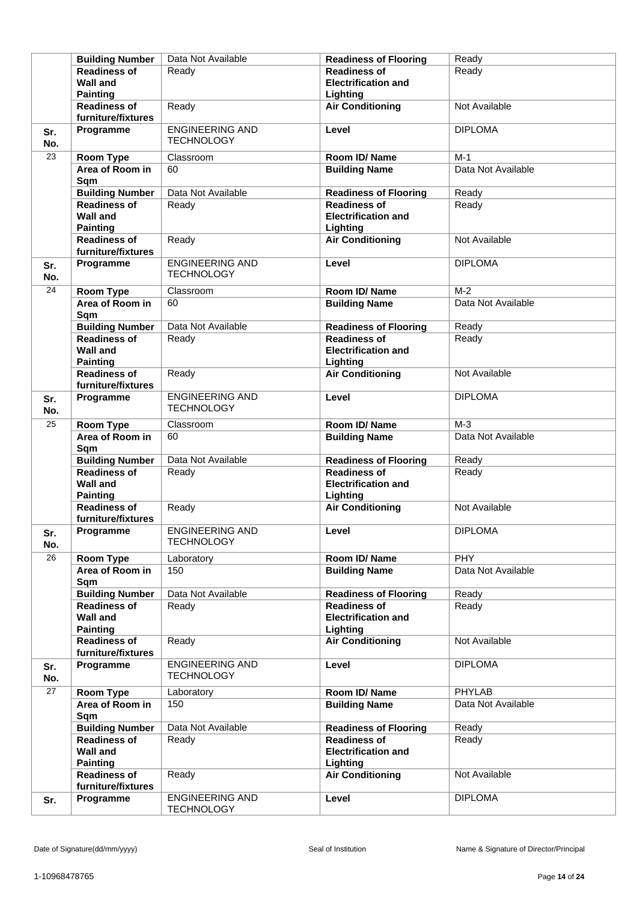|            | <b>Building Number</b>                                    | Data Not Available                          | <b>Readiness of Flooring</b>                                  | Ready              |
|------------|-----------------------------------------------------------|---------------------------------------------|---------------------------------------------------------------|--------------------|
|            | <b>Readiness of</b>                                       | Ready                                       | <b>Readiness of</b>                                           | Ready              |
|            | Wall and                                                  |                                             | <b>Electrification and</b>                                    |                    |
|            | <b>Painting</b>                                           |                                             | Lighting                                                      |                    |
|            | <b>Readiness of</b>                                       | Ready                                       | <b>Air Conditioning</b>                                       | Not Available      |
|            | furniture/fixtures                                        |                                             |                                                               |                    |
| Sr.<br>No. | Programme                                                 | <b>ENGINEERING AND</b><br><b>TECHNOLOGY</b> | Level                                                         | <b>DIPLOMA</b>     |
| 23         | <b>Room Type</b>                                          | Classroom                                   | Room ID/Name                                                  | $M-1$              |
|            | Area of Room in<br>Sqm                                    | 60                                          | <b>Building Name</b>                                          | Data Not Available |
|            | <b>Building Number</b>                                    | Data Not Available                          | <b>Readiness of Flooring</b>                                  | Ready              |
|            | <b>Readiness of</b>                                       | Ready                                       | <b>Readiness of</b>                                           | Ready              |
|            | <b>Wall and</b><br><b>Painting</b>                        |                                             | <b>Electrification and</b><br>Lighting                        |                    |
|            | <b>Readiness of</b><br>furniture/fixtures                 | Ready                                       | <b>Air Conditioning</b>                                       | Not Available      |
| Sr.<br>No. | Programme                                                 | <b>ENGINEERING AND</b><br><b>TECHNOLOGY</b> | Level                                                         | <b>DIPLOMA</b>     |
| 24         | Room Type                                                 | Classroom                                   | Room ID/Name                                                  | $M-2$              |
|            | Area of Room in<br>Sqm                                    | 60                                          | <b>Building Name</b>                                          | Data Not Available |
|            | <b>Building Number</b>                                    | Data Not Available                          | <b>Readiness of Flooring</b>                                  | Ready              |
|            | <b>Readiness of</b>                                       | Ready                                       | <b>Readiness of</b>                                           | Ready              |
|            | <b>Wall and</b>                                           |                                             | <b>Electrification and</b>                                    |                    |
|            | <b>Painting</b>                                           |                                             | Lighting                                                      |                    |
|            | <b>Readiness of</b><br>furniture/fixtures                 | Ready                                       | <b>Air Conditioning</b>                                       | Not Available      |
| Sr.<br>No. | Programme                                                 | <b>ENGINEERING AND</b><br><b>TECHNOLOGY</b> | Level                                                         | <b>DIPLOMA</b>     |
| 25         | <b>Room Type</b>                                          | Classroom                                   | Room ID/Name                                                  | $M-3$              |
|            | Area of Room in<br>Sqm                                    | 60                                          | <b>Building Name</b>                                          | Data Not Available |
|            | <b>Building Number</b>                                    | Data Not Available                          | <b>Readiness of Flooring</b>                                  | Ready              |
|            | <b>Readiness of</b><br><b>Wall and</b><br><b>Painting</b> | Ready                                       | <b>Readiness of</b><br><b>Electrification and</b><br>Lighting | Ready              |
|            | <b>Readiness of</b><br>furniture/fixtures                 | Ready                                       | <b>Air Conditioning</b>                                       | Not Available      |
| Sr.<br>No. | Programme                                                 | <b>ENGINEERING AND</b><br><b>TECHNOLOGY</b> | Level                                                         | <b>DIPLOMA</b>     |
| 26         | <b>Room Type</b>                                          | Laboratory                                  | Room ID/Name                                                  | <b>PHY</b>         |
|            | Area of Room in<br>Sqm                                    | 150                                         | <b>Building Name</b>                                          | Data Not Available |
|            | <b>Building Number</b>                                    | Data Not Available                          | <b>Readiness of Flooring</b>                                  | Ready              |
|            | <b>Readiness of</b><br><b>Wall and</b><br><b>Painting</b> | Ready                                       | <b>Readiness of</b><br><b>Electrification and</b><br>Lighting | Ready              |
|            | Readiness of<br>furniture/fixtures                        | Ready                                       | <b>Air Conditioning</b>                                       | Not Available      |
| Sr.<br>No. | Programme                                                 | <b>ENGINEERING AND</b><br><b>TECHNOLOGY</b> | Level                                                         | <b>DIPLOMA</b>     |
| 27         | <b>Room Type</b>                                          | Laboratory                                  | Room ID/Name                                                  | <b>PHYLAB</b>      |
|            | Area of Room in<br>Sqm                                    | 150                                         | <b>Building Name</b>                                          | Data Not Available |
|            | <b>Building Number</b>                                    | Data Not Available                          | <b>Readiness of Flooring</b>                                  | Ready              |
|            | <b>Readiness of</b><br><b>Wall and</b><br><b>Painting</b> | Ready                                       | <b>Readiness of</b><br><b>Electrification and</b><br>Lighting | Ready              |
|            | <b>Readiness of</b><br>furniture/fixtures                 | Ready                                       | <b>Air Conditioning</b>                                       | Not Available      |
| Sr.        | Programme                                                 | <b>ENGINEERING AND</b><br><b>TECHNOLOGY</b> | Level                                                         | <b>DIPLOMA</b>     |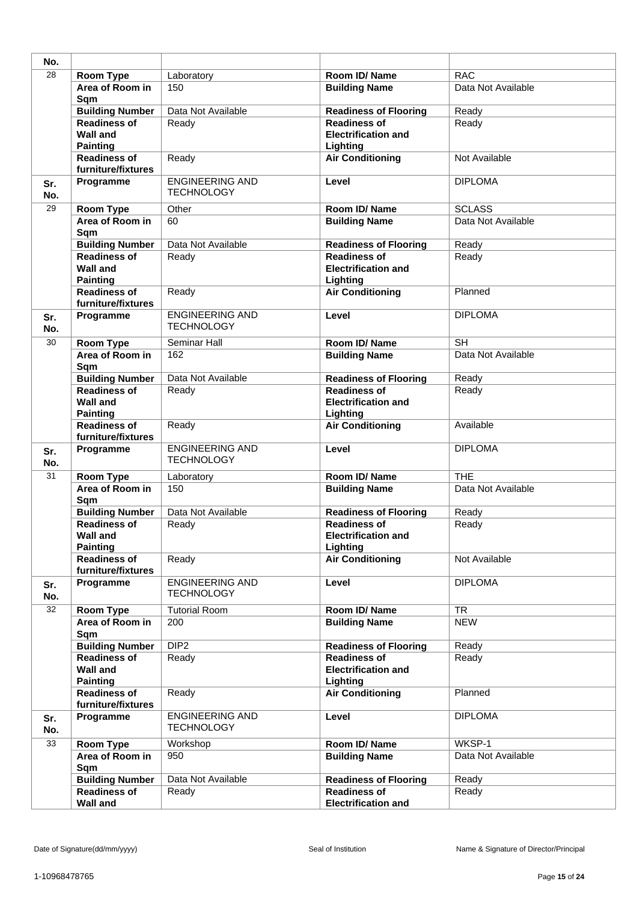| No.        |                                                           |                                             |                                                               |                        |
|------------|-----------------------------------------------------------|---------------------------------------------|---------------------------------------------------------------|------------------------|
| 28         | Room Type                                                 | Laboratory                                  | Room ID/Name                                                  | <b>RAC</b>             |
|            | Area of Room in<br>Sqm                                    | 150                                         | <b>Building Name</b>                                          | Data Not Available     |
|            | <b>Building Number</b>                                    | Data Not Available                          | <b>Readiness of Flooring</b>                                  | Ready                  |
|            | <b>Readiness of</b><br>Wall and<br><b>Painting</b>        | Ready                                       | <b>Readiness of</b><br><b>Electrification and</b><br>Lighting | Ready                  |
|            | <b>Readiness of</b><br>furniture/fixtures                 | Ready                                       | <b>Air Conditioning</b>                                       | Not Available          |
| Sr.<br>No. | Programme                                                 | <b>ENGINEERING AND</b><br><b>TECHNOLOGY</b> | Level                                                         | <b>DIPLOMA</b>         |
| 29         | <b>Room Type</b>                                          | Other                                       | Room ID/ Name                                                 | <b>SCLASS</b>          |
|            | Area of Room in<br>Sqm                                    | 60                                          | <b>Building Name</b>                                          | Data Not Available     |
|            | <b>Building Number</b>                                    | Data Not Available                          | <b>Readiness of Flooring</b>                                  | Ready                  |
|            | <b>Readiness of</b><br><b>Wall and</b><br><b>Painting</b> | Ready                                       | <b>Readiness of</b><br><b>Electrification and</b><br>Lighting | Ready                  |
|            | <b>Readiness of</b><br>furniture/fixtures                 | Ready                                       | <b>Air Conditioning</b>                                       | Planned                |
| Sr.<br>No. | Programme                                                 | <b>ENGINEERING AND</b><br><b>TECHNOLOGY</b> | Level                                                         | <b>DIPLOMA</b>         |
| 30         | Room Type                                                 | Seminar Hall                                | Room ID/Name                                                  | <b>SH</b>              |
|            | Area of Room in<br>Sqm                                    | 162                                         | <b>Building Name</b>                                          | Data Not Available     |
|            | <b>Building Number</b>                                    | Data Not Available                          | <b>Readiness of Flooring</b>                                  | Ready                  |
|            | <b>Readiness of</b><br><b>Wall and</b><br><b>Painting</b> | Ready                                       | <b>Readiness of</b><br><b>Electrification and</b><br>Lighting | Ready                  |
|            | <b>Readiness of</b><br>furniture/fixtures                 | Ready                                       | <b>Air Conditioning</b>                                       | Available              |
| Sr.<br>No. | Programme                                                 | <b>ENGINEERING AND</b><br><b>TECHNOLOGY</b> | Level                                                         | <b>DIPLOMA</b>         |
| 31         | <b>Room Type</b>                                          | Laboratory                                  | Room ID/Name                                                  | <b>THE</b>             |
|            | Area of Room in<br>Sqm                                    | 150                                         | <b>Building Name</b>                                          | Data Not Available     |
|            | <b>Building Number</b>                                    | Data Not Available                          | <b>Readiness of Flooring</b>                                  | Ready                  |
|            | <b>Readiness of</b><br>Wall and<br><b>Painting</b>        | Ready                                       | <b>Readiness of</b><br><b>Electrification and</b><br>Lighting | Ready                  |
|            | <b>Readiness of</b><br>furniture/fixtures                 | Ready                                       | <b>Air Conditioning</b>                                       | Not Available          |
| Sr.<br>No. | Programme                                                 | <b>ENGINEERING AND</b><br><b>TECHNOLOGY</b> | Level                                                         | <b>DIPLOMA</b>         |
| 32         | Room Type                                                 | <b>Tutorial Room</b>                        | Room ID/Name                                                  | $\overline{\text{TR}}$ |
|            | Area of Room in<br>Sqm                                    | 200                                         | <b>Building Name</b>                                          | <b>NEW</b>             |
|            | <b>Building Number</b>                                    | DIP <sub>2</sub>                            | <b>Readiness of Flooring</b>                                  | Ready                  |
|            | <b>Readiness of</b><br><b>Wall and</b><br><b>Painting</b> | Ready                                       | <b>Readiness of</b><br><b>Electrification and</b><br>Lighting | Ready                  |
|            | <b>Readiness of</b><br>furniture/fixtures                 | Ready                                       | <b>Air Conditioning</b>                                       | Planned                |
| Sr.<br>No. | Programme                                                 | <b>ENGINEERING AND</b><br><b>TECHNOLOGY</b> | Level                                                         | <b>DIPLOMA</b>         |
| 33         | Room Type                                                 | Workshop                                    | Room ID/Name                                                  | WKSP-1                 |
|            | Area of Room in<br>Sqm                                    | 950                                         | <b>Building Name</b>                                          | Data Not Available     |
|            | <b>Building Number</b>                                    | Data Not Available                          | <b>Readiness of Flooring</b>                                  | Ready                  |
|            | Readiness of<br><b>Wall and</b>                           | Ready                                       | <b>Readiness of</b><br><b>Electrification and</b>             | Ready                  |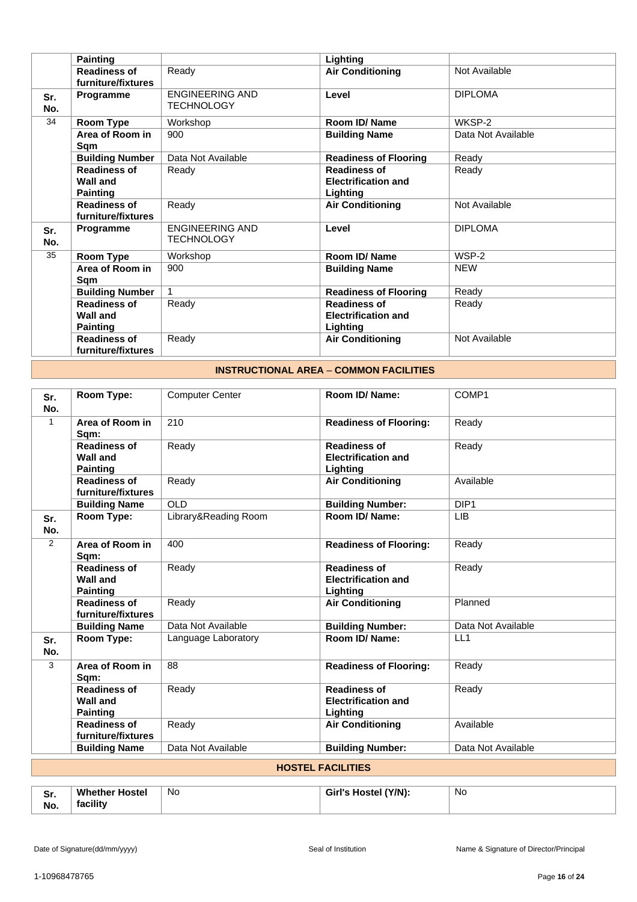|            | <b>Painting</b>                                           |                                             | Lighting                                                      |                    |
|------------|-----------------------------------------------------------|---------------------------------------------|---------------------------------------------------------------|--------------------|
|            | <b>Readiness of</b><br>furniture/fixtures                 | Ready                                       | <b>Air Conditioning</b>                                       | Not Available      |
| Sr.<br>No. | Programme                                                 | <b>ENGINEERING AND</b><br><b>TECHNOLOGY</b> | Level                                                         | <b>DIPLOMA</b>     |
| 34         | Room Type                                                 | Workshop                                    | <b>Room ID/ Name</b>                                          | WKSP-2             |
|            | Area of Room in<br>Sqm                                    | 900                                         | <b>Building Name</b>                                          | Data Not Available |
|            | <b>Building Number</b>                                    | Data Not Available                          | <b>Readiness of Flooring</b>                                  | Ready              |
|            | <b>Readiness of</b>                                       | Ready                                       | <b>Readiness of</b>                                           | Ready              |
|            | <b>Wall and</b><br><b>Painting</b>                        |                                             | <b>Electrification and</b><br>Lighting                        |                    |
|            | <b>Readiness of</b><br>furniture/fixtures                 | Ready                                       | <b>Air Conditioning</b>                                       | Not Available      |
| Sr.<br>No. | Programme                                                 | <b>ENGINEERING AND</b><br><b>TECHNOLOGY</b> | Level                                                         | <b>DIPLOMA</b>     |
| 35         | Room Type                                                 | Workshop                                    | Room ID/Name                                                  | WSP-2              |
|            | Area of Room in<br>Sqm                                    | 900                                         | <b>Building Name</b>                                          | <b>NEW</b>         |
|            | <b>Building Number</b>                                    | $\mathbf 1$                                 | <b>Readiness of Flooring</b>                                  | Ready              |
|            | <b>Readiness of</b><br><b>Wall and</b><br><b>Painting</b> | Ready                                       | <b>Readiness of</b><br><b>Electrification and</b><br>Lighting | Ready              |
|            | <b>Readiness of</b><br>furniture/fixtures                 | Ready                                       | <b>Air Conditioning</b>                                       | Not Available      |

### **INSTRUCTIONAL AREA** – **COMMON FACILITIES**

| Sr.<br>No. | Room Type:                                                | <b>Computer Center</b> | Room ID/Name:                                                 | COMP1              |  |
|------------|-----------------------------------------------------------|------------------------|---------------------------------------------------------------|--------------------|--|
| 1          | Area of Room in<br>Sqm:                                   | 210                    | <b>Readiness of Flooring:</b>                                 | Ready              |  |
|            | <b>Readiness of</b><br><b>Wall and</b><br><b>Painting</b> | Ready                  | <b>Readiness of</b><br><b>Electrification and</b><br>Lighting | Ready              |  |
|            | <b>Readiness of</b><br>furniture/fixtures                 | Ready                  | <b>Air Conditioning</b>                                       | Available          |  |
|            | <b>Building Name</b>                                      | <b>OLD</b>             | <b>Building Number:</b>                                       | DIP <sub>1</sub>   |  |
| Sr.<br>No. | Room Type:                                                | Library&Reading Room   | Room ID/Name:                                                 | <b>LIB</b>         |  |
| 2          | Area of Room in<br>Sqm:                                   | 400                    | <b>Readiness of Flooring:</b>                                 | Ready              |  |
|            | <b>Readiness of</b><br><b>Wall and</b><br><b>Painting</b> | Ready                  | <b>Readiness of</b><br><b>Electrification and</b><br>Lighting | Ready              |  |
|            | <b>Readiness of</b><br>furniture/fixtures                 | Ready                  | <b>Air Conditioning</b>                                       | Planned            |  |
|            | <b>Building Name</b>                                      | Data Not Available     | <b>Building Number:</b>                                       | Data Not Available |  |
| Sr.<br>No. | Room Type:                                                | Language Laboratory    | Room ID/Name:                                                 | LL1                |  |
| 3          | Area of Room in<br>Sqm:                                   | 88                     | <b>Readiness of Flooring:</b>                                 | Ready              |  |
|            | <b>Readiness of</b><br><b>Wall and</b><br><b>Painting</b> | Ready                  | <b>Readiness of</b><br><b>Electrification and</b><br>Lighting | Ready              |  |
|            | <b>Readiness of</b><br>furniture/fixtures                 | Ready                  | <b>Air Conditioning</b>                                       | Available          |  |
|            | <b>Building Name</b>                                      | Data Not Available     | <b>Building Number:</b>                                       | Data Not Available |  |
|            | <b>HOSTEL FACILITIES</b>                                  |                        |                                                               |                    |  |

#### **Sr. No. Whether Hostel facility**  No **Girl's Hostel (Y/N):** No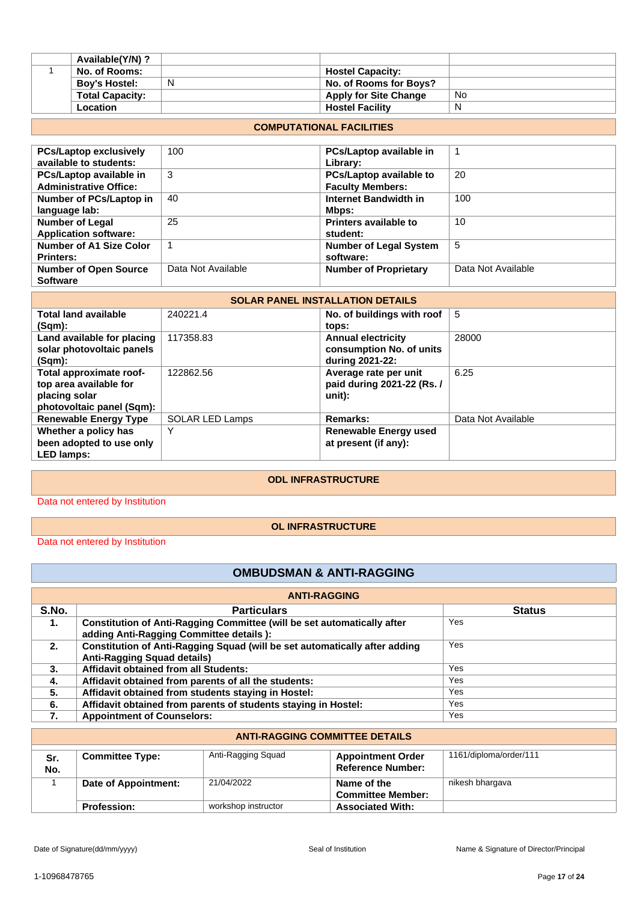| Available(Y/N)?        |   |                              |           |
|------------------------|---|------------------------------|-----------|
| No. of Rooms:          |   | <b>Hostel Capacity:</b>      |           |
| <b>Boy's Hostel:</b>   | N | No. of Rooms for Boys?       |           |
| <b>Total Capacity:</b> |   | <b>Apply for Site Change</b> | <b>No</b> |
| Location               |   | <b>Hostel Facility</b>       | N         |

### **COMPUTATIONAL FACILITIES**

| <b>PCs/Laptop exclusively</b> | 100                | PCs/Laptop available in        |                    |
|-------------------------------|--------------------|--------------------------------|--------------------|
| available to students:        |                    | Library:                       |                    |
| PCs/Laptop available in       | 3                  | <b>PCs/Laptop available to</b> | 20                 |
| <b>Administrative Office:</b> |                    | <b>Faculty Members:</b>        |                    |
| Number of PCs/Laptop in       | 40                 | Internet Bandwidth in          | 100                |
| language lab:                 |                    | Mbps:                          |                    |
| <b>Number of Legal</b>        | 25                 | <b>Printers available to</b>   | 10                 |
| <b>Application software:</b>  |                    | student:                       |                    |
| Number of A1 Size Color       |                    | <b>Number of Legal System</b>  | 5                  |
| <b>Printers:</b>              |                    | software:                      |                    |
| <b>Number of Open Source</b>  | Data Not Available | <b>Number of Proprietary</b>   | Data Not Available |
| <b>Software</b>               |                    |                                |                    |

| <b>SOLAR PANEL INSTALLATION DETAILS</b> |                        |                              |                    |  |
|-----------------------------------------|------------------------|------------------------------|--------------------|--|
| <b>Total land available</b>             | 240221.4               | No. of buildings with roof   | 5                  |  |
| (Sqm):                                  |                        | tops:                        |                    |  |
| Land available for placing              | 117358.83              | <b>Annual electricity</b>    | 28000              |  |
| solar photovoltaic panels               |                        | consumption No. of units     |                    |  |
| $(Sqm)$ :                               |                        | during 2021-22:              |                    |  |
| Total approximate roof-                 | 122862.56              | Average rate per unit        | 6.25               |  |
| top area available for                  |                        | paid during 2021-22 (Rs. /   |                    |  |
| placing solar                           |                        | unit):                       |                    |  |
| photovoltaic panel (Sqm):               |                        |                              |                    |  |
| <b>Renewable Energy Type</b>            | <b>SOLAR LED Lamps</b> | Remarks:                     | Data Not Available |  |
| Whether a policy has                    | v                      | <b>Renewable Energy used</b> |                    |  |
| been adopted to use only                |                        | at present (if any):         |                    |  |
| <b>LED lamps:</b>                       |                        |                              |                    |  |

#### **ODL INFRASTRUCTURE**

Data not entered by Institution

#### **OL INFRASTRUCTURE**

Data not entered by Institution

### **OMBUDSMAN & ANTI-RAGGING**

| <b>ANTI-RAGGING</b> |                                                                            |               |  |  |
|---------------------|----------------------------------------------------------------------------|---------------|--|--|
| S.No.               | <b>Particulars</b>                                                         | <b>Status</b> |  |  |
| 1.                  | Constitution of Anti-Ragging Committee (will be set automatically after    | Yes           |  |  |
|                     | adding Anti-Ragging Committee details ):                                   |               |  |  |
| 2.                  | Constitution of Anti-Ragging Squad (will be set automatically after adding | Yes           |  |  |
|                     | <b>Anti-Ragging Squad details)</b>                                         |               |  |  |
| 3.                  | Affidavit obtained from all Students:                                      | Yes           |  |  |
| 4.                  | Affidavit obtained from parents of all the students:                       | Yes           |  |  |
| 5.                  | Affidavit obtained from students staying in Hostel:                        | Yes           |  |  |
| 6.                  | Affidavit obtained from parents of students staying in Hostel:             | Yes           |  |  |
| 7.                  | <b>Appointment of Counselors:</b>                                          | Yes           |  |  |

|            | <b>ANTI-RAGGING COMMITTEE DETAILS</b> |                     |                                                      |                        |  |
|------------|---------------------------------------|---------------------|------------------------------------------------------|------------------------|--|
| Sr.<br>No. | <b>Committee Type:</b>                | Anti-Ragging Squad  | <b>Appointment Order</b><br><b>Reference Number:</b> | 1161/diploma/order/111 |  |
|            | Date of Appointment:                  | 21/04/2022          | Name of the<br><b>Committee Member:</b>              | nikesh bhargava        |  |
|            | <b>Profession:</b>                    | workshop instructor | <b>Associated With:</b>                              |                        |  |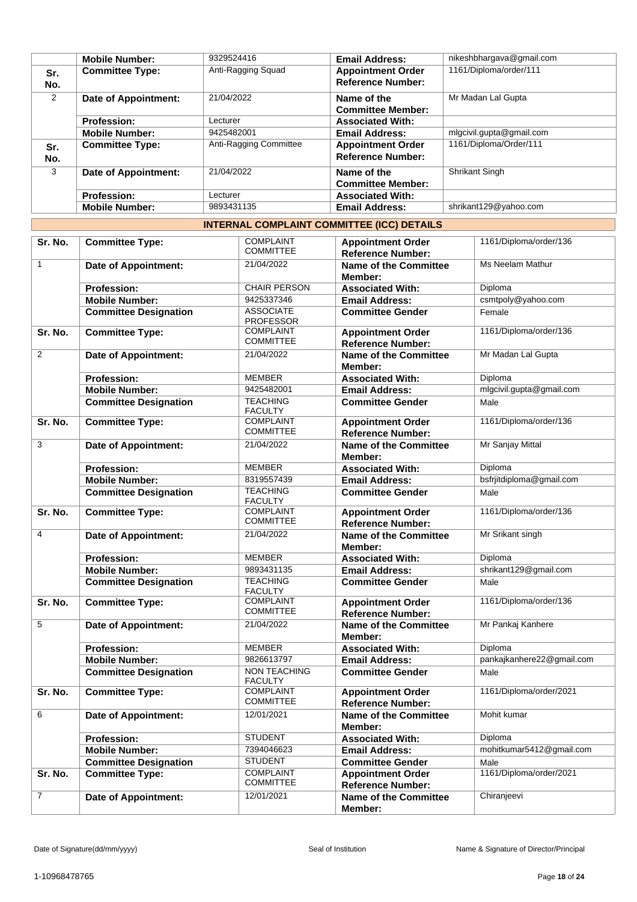|            | <b>Mobile Number:</b>  | 9329524416             | <b>Email Address:</b>                                | nikeshbhargava@gmail.com |
|------------|------------------------|------------------------|------------------------------------------------------|--------------------------|
| Sr.<br>No. | <b>Committee Type:</b> | Anti-Ragging Squad     | <b>Appointment Order</b><br><b>Reference Number:</b> | 1161/Diploma/order/111   |
| 2          | Date of Appointment:   | 21/04/2022             | Name of the<br><b>Committee Member:</b>              | Mr Madan Lal Gupta       |
|            | <b>Profession:</b>     | Lecturer               | <b>Associated With:</b>                              |                          |
|            | <b>Mobile Number:</b>  | 9425482001             | <b>Email Address:</b>                                | mlgcivil.gupta@gmail.com |
| Sr.<br>No. | <b>Committee Type:</b> | Anti-Ragging Committee | <b>Appointment Order</b><br><b>Reference Number:</b> | 1161/Diploma/Order/111   |
| 3          | Date of Appointment:   | 21/04/2022             | Name of the<br><b>Committee Member:</b>              | <b>Shrikant Singh</b>    |
|            | <b>Profession:</b>     | Lecturer               | <b>Associated With:</b>                              |                          |
|            | <b>Mobile Number:</b>  | 9893431135             | <b>Email Address:</b>                                | shrikant129@yahoo.com    |

### **INTERNAL COMPLAINT COMMITTEE (ICC) DETAILS**

| Sr. No.        | <b>Committee Type:</b>       | <b>COMPLAINT</b><br><b>COMMITTEE</b>  | <b>Appointment Order</b><br><b>Reference Number:</b> | 1161/Diploma/order/136    |
|----------------|------------------------------|---------------------------------------|------------------------------------------------------|---------------------------|
| $\mathbf{1}$   | Date of Appointment:         | 21/04/2022                            | <b>Name of the Committee</b><br>Member:              | Ms Neelam Mathur          |
|                | <b>Profession:</b>           | <b>CHAIR PERSON</b>                   | <b>Associated With:</b>                              | Diploma                   |
|                | <b>Mobile Number:</b>        | 9425337346                            | <b>Email Address:</b>                                | csmtpoly@yahoo.com        |
|                | <b>Committee Designation</b> | <b>ASSOCIATE</b><br><b>PROFESSOR</b>  | <b>Committee Gender</b>                              | Female                    |
| Sr. No.        | <b>Committee Type:</b>       | <b>COMPLAINT</b><br><b>COMMITTEE</b>  | <b>Appointment Order</b><br><b>Reference Number:</b> | 1161/Diploma/order/136    |
| $\overline{2}$ | Date of Appointment:         | 21/04/2022                            | <b>Name of the Committee</b><br>Member:              | Mr Madan Lal Gupta        |
|                | <b>Profession:</b>           | <b>MEMBER</b>                         | <b>Associated With:</b>                              | Diploma                   |
|                | <b>Mobile Number:</b>        | 9425482001                            | <b>Email Address:</b>                                | mlgcivil.gupta@gmail.com  |
|                | <b>Committee Designation</b> | <b>TEACHING</b><br><b>FACULTY</b>     | <b>Committee Gender</b>                              | Male                      |
| Sr. No.        | <b>Committee Type:</b>       | <b>COMPLAINT</b><br><b>COMMITTEE</b>  | <b>Appointment Order</b><br><b>Reference Number:</b> | 1161/Diploma/order/136    |
| 3              | Date of Appointment:         | 21/04/2022                            | <b>Name of the Committee</b><br>Member:              | Mr Sanjay Mittal          |
|                | <b>Profession:</b>           | <b>MEMBER</b>                         | <b>Associated With:</b>                              | Diploma                   |
|                | <b>Mobile Number:</b>        | 8319557439                            | <b>Email Address:</b>                                | bsfrjitdiploma@gmail.com  |
|                | <b>Committee Designation</b> | <b>TEACHING</b><br><b>FACULTY</b>     | <b>Committee Gender</b>                              | Male                      |
| Sr. No.        | <b>Committee Type:</b>       | <b>COMPLAINT</b><br><b>COMMITTEE</b>  | <b>Appointment Order</b><br><b>Reference Number:</b> | 1161/Diploma/order/136    |
| 4              | Date of Appointment:         | 21/04/2022                            | <b>Name of the Committee</b><br>Member:              | Mr Srikant singh          |
|                | <b>Profession:</b>           | <b>MEMBER</b>                         | <b>Associated With:</b>                              | Diploma                   |
|                | <b>Mobile Number:</b>        | 9893431135                            | <b>Email Address:</b>                                | shrikant129@gmail.com     |
|                | <b>Committee Designation</b> | <b>TEACHING</b><br><b>FACULTY</b>     | <b>Committee Gender</b>                              | Male                      |
| Sr. No.        | <b>Committee Type:</b>       | <b>COMPLAINT</b><br><b>COMMITTEE</b>  | <b>Appointment Order</b><br><b>Reference Number:</b> | 1161/Diploma/order/136    |
| 5              | Date of Appointment:         | 21/04/2022                            | <b>Name of the Committee</b><br>Member:              | Mr Pankaj Kanhere         |
|                | <b>Profession:</b>           | <b>MEMBER</b>                         | <b>Associated With:</b>                              | Diploma                   |
|                | <b>Mobile Number:</b>        | 9826613797                            | <b>Email Address:</b>                                | pankajkanhere22@gmail.com |
|                | <b>Committee Designation</b> | <b>NON TEACHING</b><br><b>FACULTY</b> | <b>Committee Gender</b>                              | Male                      |
| Sr. No.        | <b>Committee Type:</b>       | <b>COMPLAINT</b><br>COMMITTEE         | <b>Appointment Order</b><br><b>Reference Number:</b> | 1161/Diploma/order/2021   |
| 6              | Date of Appointment:         | 12/01/2021                            | Name of the Committee<br>Member:                     | Mohit kumar               |
|                | Profession:                  | <b>STUDENT</b>                        | <b>Associated With:</b>                              | Diploma                   |
|                | <b>Mobile Number:</b>        | 7394046623                            | <b>Email Address:</b>                                | mohitkumar5412@gmail.com  |
|                | <b>Committee Designation</b> | <b>STUDENT</b>                        | <b>Committee Gender</b>                              | Male                      |
| Sr. No.        | <b>Committee Type:</b>       | <b>COMPLAINT</b><br><b>COMMITTEE</b>  | <b>Appointment Order</b><br><b>Reference Number:</b> | 1161/Diploma/order/2021   |
| $\overline{7}$ | <b>Date of Appointment:</b>  | 12/01/2021                            | <b>Name of the Committee</b><br>Member:              | Chiranjeevi               |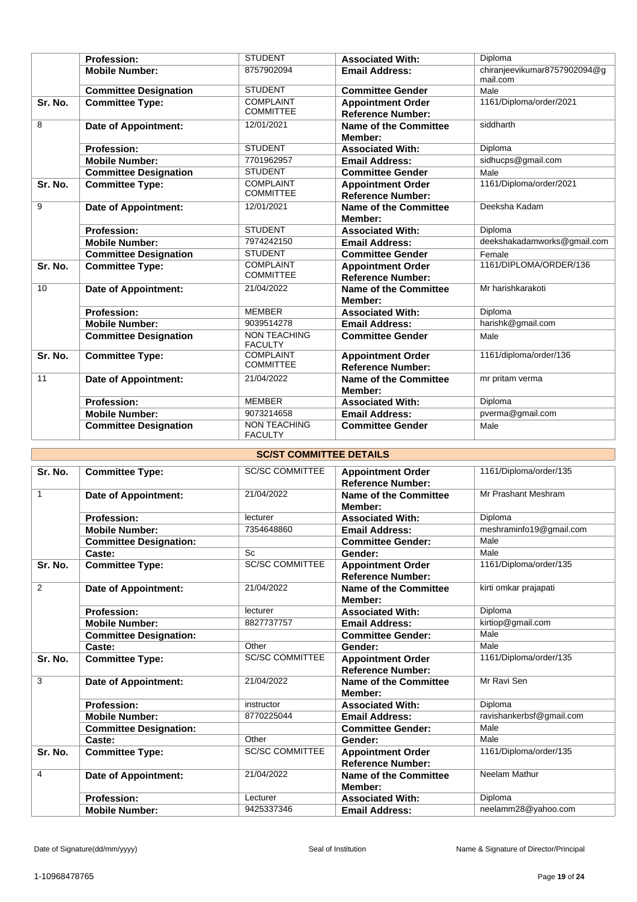|         | <b>Profession:</b>           | <b>STUDENT</b>                        | <b>Associated With:</b>                              | Diploma                                  |
|---------|------------------------------|---------------------------------------|------------------------------------------------------|------------------------------------------|
|         | <b>Mobile Number:</b>        | 8757902094                            | <b>Email Address:</b>                                | chiranjeevikumar8757902094@q<br>mail.com |
|         | <b>Committee Designation</b> | <b>STUDENT</b>                        | <b>Committee Gender</b>                              | Male                                     |
| Sr. No. | <b>Committee Type:</b>       | <b>COMPLAINT</b><br><b>COMMITTEE</b>  | <b>Appointment Order</b><br><b>Reference Number:</b> | 1161/Diploma/order/2021                  |
| 8       | <b>Date of Appointment:</b>  | 12/01/2021                            | Name of the Committee<br>Member:                     | siddharth                                |
|         | <b>Profession:</b>           | <b>STUDENT</b>                        | <b>Associated With:</b>                              | Diploma                                  |
|         | <b>Mobile Number:</b>        | 7701962957                            | <b>Email Address:</b>                                | sidhucps@gmail.com                       |
|         | <b>Committee Designation</b> | <b>STUDENT</b>                        | <b>Committee Gender</b>                              | Male                                     |
| Sr. No. | <b>Committee Type:</b>       | <b>COMPLAINT</b><br><b>COMMITTEE</b>  | <b>Appointment Order</b><br><b>Reference Number:</b> | 1161/Diploma/order/2021                  |
| 9       | Date of Appointment:         | 12/01/2021                            | Name of the Committee<br>Member:                     | Deeksha Kadam                            |
|         | <b>Profession:</b>           | <b>STUDENT</b>                        | <b>Associated With:</b>                              | Diploma                                  |
|         | <b>Mobile Number:</b>        | 7974242150                            | <b>Email Address:</b>                                | deekshakadamworks@gmail.com              |
|         | <b>Committee Designation</b> | <b>STUDENT</b>                        | <b>Committee Gender</b>                              | Female                                   |
| Sr. No. | <b>Committee Type:</b>       | <b>COMPLAINT</b><br><b>COMMITTEE</b>  | <b>Appointment Order</b><br><b>Reference Number:</b> | 1161/DIPLOMA/ORDER/136                   |
| 10      | <b>Date of Appointment:</b>  | 21/04/2022                            | Name of the Committee<br>Member:                     | Mr harishkarakoti                        |
|         | <b>Profession:</b>           | <b>MEMBER</b>                         | <b>Associated With:</b>                              | Diploma                                  |
|         | <b>Mobile Number:</b>        | 9039514278                            | <b>Email Address:</b>                                | harishk@gmail.com                        |
|         | <b>Committee Designation</b> | <b>NON TEACHING</b><br><b>FACULTY</b> | <b>Committee Gender</b>                              | Male                                     |
| Sr. No. | <b>Committee Type:</b>       | <b>COMPLAINT</b><br><b>COMMITTEE</b>  | <b>Appointment Order</b><br><b>Reference Number:</b> | 1161/diploma/order/136                   |
| 11      | <b>Date of Appointment:</b>  | 21/04/2022                            | Name of the Committee<br><b>Member:</b>              | mr pritam verma                          |
|         | <b>Profession:</b>           | <b>MEMBER</b>                         | <b>Associated With:</b>                              | Diploma                                  |
|         | <b>Mobile Number:</b>        | 9073214658                            | <b>Email Address:</b>                                | pverma@gmail.com                         |
|         | <b>Committee Designation</b> | <b>NON TEACHING</b><br><b>FACULTY</b> | <b>Committee Gender</b>                              | Male                                     |

|         | <b>SC/ST COMMITTEE DETAILS</b> |                        |                                                      |                          |  |
|---------|--------------------------------|------------------------|------------------------------------------------------|--------------------------|--|
| Sr. No. | <b>Committee Type:</b>         | <b>SC/SC COMMITTEE</b> | <b>Appointment Order</b><br><b>Reference Number:</b> | 1161/Diploma/order/135   |  |
| 1       | <b>Date of Appointment:</b>    | 21/04/2022             | Name of the Committee<br>Member:                     | Mr Prashant Meshram      |  |
|         | <b>Profession:</b>             | lecturer               | <b>Associated With:</b>                              | Diploma                  |  |
|         | <b>Mobile Number:</b>          | 7354648860             | <b>Email Address:</b>                                | meshraminfo19@gmail.com  |  |
|         | <b>Committee Designation:</b>  |                        | <b>Committee Gender:</b>                             | Male                     |  |
|         | Caste:                         | <b>Sc</b>              | Gender:                                              | Male                     |  |
| Sr. No. | <b>Committee Type:</b>         | <b>SC/SC COMMITTEE</b> | <b>Appointment Order</b><br><b>Reference Number:</b> | 1161/Diploma/order/135   |  |
| 2       | <b>Date of Appointment:</b>    | 21/04/2022             | <b>Name of the Committee</b><br>Member:              | kirti omkar prajapati    |  |
|         | <b>Profession:</b>             | lecturer               | <b>Associated With:</b>                              | Diploma                  |  |
|         | <b>Mobile Number:</b>          | 8827737757             | <b>Email Address:</b>                                | kirtiop@gmail.com        |  |
|         | <b>Committee Designation:</b>  |                        | <b>Committee Gender:</b>                             | Male                     |  |
|         | Caste:                         | Other                  | Gender:                                              | Male                     |  |
| Sr. No. | <b>Committee Type:</b>         | <b>SC/SC COMMITTEE</b> | <b>Appointment Order</b><br><b>Reference Number:</b> | 1161/Diploma/order/135   |  |
| 3       | <b>Date of Appointment:</b>    | 21/04/2022             | Name of the Committee<br>Member:                     | Mr Ravi Sen              |  |
|         | <b>Profession:</b>             | instructor             | <b>Associated With:</b>                              | Diploma                  |  |
|         | <b>Mobile Number:</b>          | 8770225044             | <b>Email Address:</b>                                | ravishankerbsf@gmail.com |  |
|         | <b>Committee Designation:</b>  |                        | <b>Committee Gender:</b>                             | Male                     |  |
|         | Caste:                         | Other                  | Gender:                                              | Male                     |  |
| Sr. No. | <b>Committee Type:</b>         | <b>SC/SC COMMITTEE</b> | <b>Appointment Order</b><br><b>Reference Number:</b> | 1161/Diploma/order/135   |  |
| 4       | Date of Appointment:           | 21/04/2022             | Name of the Committee<br>Member:                     | Neelam Mathur            |  |
|         | <b>Profession:</b>             | Lecturer               | <b>Associated With:</b>                              | Diploma                  |  |
|         | <b>Mobile Number:</b>          | 9425337346             | <b>Email Address:</b>                                | neelamm28@yahoo.com      |  |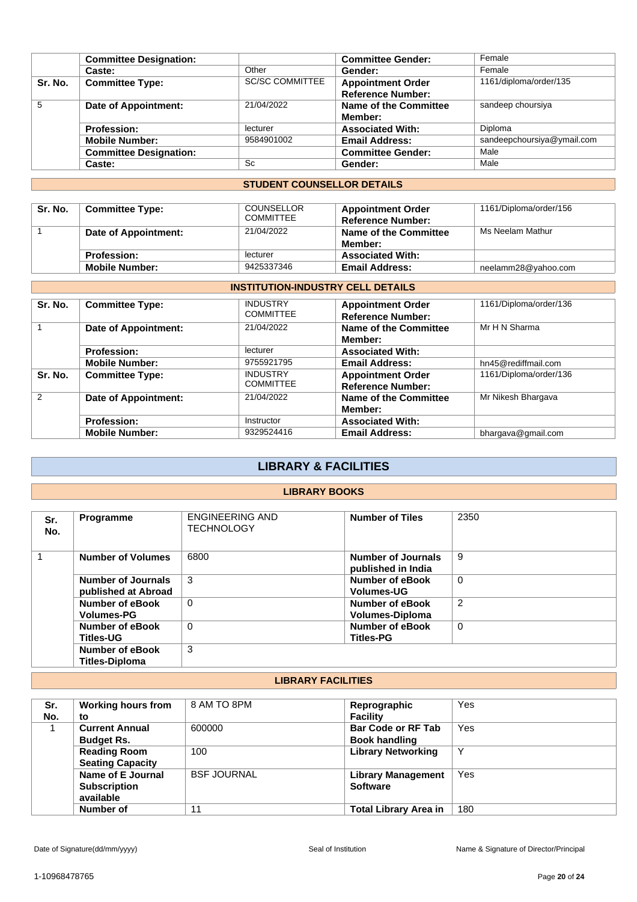|         | <b>Committee Designation:</b> |                        | <b>Committee Gender:</b>     | Female                     |
|---------|-------------------------------|------------------------|------------------------------|----------------------------|
|         | Caste:                        | Other                  | Gender:                      | Female                     |
| Sr. No. | <b>Committee Type:</b>        | <b>SC/SC COMMITTEE</b> | <b>Appointment Order</b>     | 1161/diploma/order/135     |
|         |                               |                        | <b>Reference Number:</b>     |                            |
| 5       | Date of Appointment:          | 21/04/2022             | <b>Name of the Committee</b> | sandeep choursiya          |
|         |                               |                        | Member:                      |                            |
|         | <b>Profession:</b>            | lecturer               | <b>Associated With:</b>      | <b>Diploma</b>             |
|         | <b>Mobile Number:</b>         | 9584901002             | <b>Email Address:</b>        | sandeepchoursiya@ymail.com |
|         | <b>Committee Designation:</b> |                        | <b>Committee Gender:</b>     | Male                       |
|         | Caste:                        | Sc                     | Gender:                      | Male                       |

### **STUDENT COUNSELLOR DETAILS**

| Sr. No. | <b>Committee Type:</b> | <b>COUNSELLOR</b><br><b>COMMITTEE</b> | <b>Appointment Order</b><br><b>Reference Number:</b> | 1161/Diploma/order/156 |
|---------|------------------------|---------------------------------------|------------------------------------------------------|------------------------|
|         | Date of Appointment:   | 21/04/2022                            | Name of the Committee<br>Member:                     | Ms Neelam Mathur       |
|         | <b>Profession:</b>     | lecturer                              | <b>Associated With:</b>                              |                        |
|         | <b>Mobile Number:</b>  | 9425337346                            | <b>Email Address:</b>                                | neelamm28@yahoo.com    |

| <b>INSTITUTION-INDUSTRY CELL DETAILS</b> |                             |                                     |                                                      |                        |
|------------------------------------------|-----------------------------|-------------------------------------|------------------------------------------------------|------------------------|
| Sr. No.                                  | <b>Committee Type:</b>      | <b>INDUSTRY</b><br><b>COMMITTEE</b> | <b>Appointment Order</b><br><b>Reference Number:</b> | 1161/Diploma/order/136 |
|                                          | <b>Date of Appointment:</b> | 21/04/2022                          | Name of the Committee<br>Member:                     | Mr H N Sharma          |
|                                          | <b>Profession:</b>          | lecturer                            | <b>Associated With:</b>                              |                        |
|                                          | <b>Mobile Number:</b>       | 9755921795                          | <b>Email Address:</b>                                | hn45@rediffmail.com    |
| Sr. No.                                  | <b>Committee Type:</b>      | <b>INDUSTRY</b><br><b>COMMITTEE</b> | <b>Appointment Order</b><br><b>Reference Number:</b> | 1161/Diploma/order/136 |
| $\mathcal{P}$                            | <b>Date of Appointment:</b> | 21/04/2022                          | Name of the Committee<br>Member:                     | Mr Nikesh Bhargava     |
|                                          | <b>Profession:</b>          | Instructor                          | <b>Associated With:</b>                              |                        |
|                                          | <b>Mobile Number:</b>       | 9329524416                          | <b>Email Address:</b>                                | bhargava@gmail.com     |

### **LIBRARY & FACILITIES**

#### **LIBRARY BOOKS**

| Sr.<br>No. | <b>Programme</b>                                 | ENGINEERING AND<br><b>TECHNOLOGY</b> | <b>Number of Tiles</b>                      | 2350     |
|------------|--------------------------------------------------|--------------------------------------|---------------------------------------------|----------|
| 1          | <b>Number of Volumes</b>                         | 6800                                 | Number of Journals<br>published in India    | 9        |
|            | <b>Number of Journals</b><br>published at Abroad | 3                                    | <b>Number of eBook</b><br><b>Volumes-UG</b> | 0        |
|            | Number of eBook<br><b>Volumes-PG</b>             | 0                                    | Number of eBook<br>Volumes-Diploma          | 2        |
|            | Number of eBook<br><b>Titles-UG</b>              | $\Omega$                             | Number of eBook<br><b>Titles-PG</b>         | $\Omega$ |
|            | Number of eBook<br><b>Titles-Diploma</b>         | 3                                    |                                             |          |

### **LIBRARY FACILITIES**

| Sr.<br>No. | <b>Working hours from</b><br>to                       | 8 AM TO 8PM        | Reprographic<br><b>Facility</b>                   | Yes |
|------------|-------------------------------------------------------|--------------------|---------------------------------------------------|-----|
|            | <b>Current Annual</b><br><b>Budget Rs.</b>            | 600000             | <b>Bar Code or RF Tab</b><br><b>Book handling</b> | Yes |
|            | <b>Reading Room</b><br><b>Seating Capacity</b>        | 100                | <b>Library Networking</b>                         |     |
|            | Name of E Journal<br><b>Subscription</b><br>available | <b>BSF JOURNAL</b> | <b>Library Management</b><br><b>Software</b>      | Yes |
|            | Number of                                             | 11                 | <b>Total Library Area in</b>                      | 180 |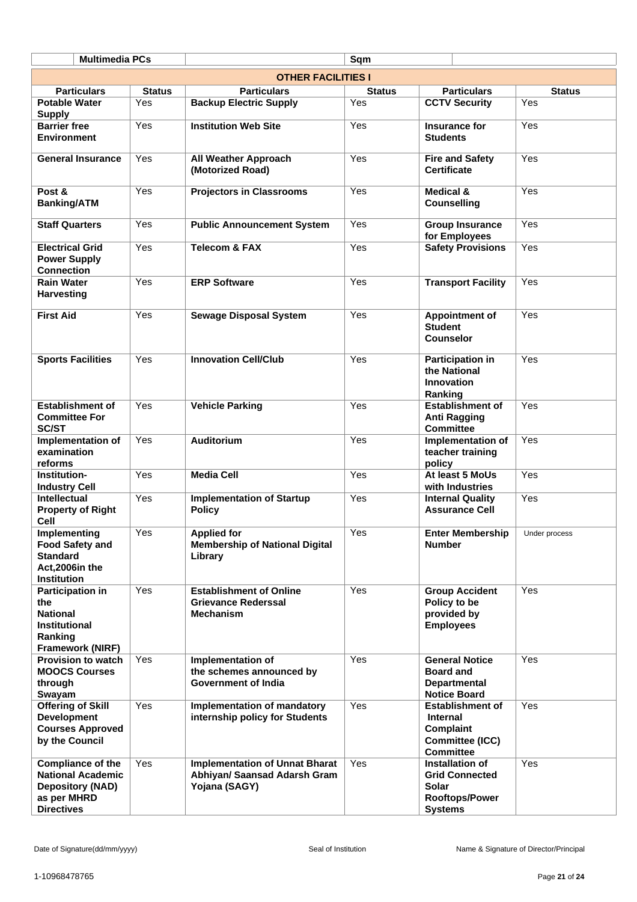| <b>Multimedia PCs</b>                                                                                        |                      |                                                                                        | Sqm                  |                                                                                                     |                      |
|--------------------------------------------------------------------------------------------------------------|----------------------|----------------------------------------------------------------------------------------|----------------------|-----------------------------------------------------------------------------------------------------|----------------------|
|                                                                                                              |                      | <b>OTHER FACILITIES I</b>                                                              |                      |                                                                                                     |                      |
| <b>Particulars</b><br><b>Potable Water</b><br><b>Supply</b>                                                  | <b>Status</b><br>Yes | <b>Particulars</b><br><b>Backup Electric Supply</b>                                    | <b>Status</b><br>Yes | <b>Particulars</b><br><b>CCTV Security</b>                                                          | <b>Status</b><br>Yes |
| <b>Barrier free</b><br>Environment                                                                           | Yes                  | <b>Institution Web Site</b>                                                            | Yes                  | <b>Insurance for</b><br><b>Students</b>                                                             | Yes                  |
| <b>General Insurance</b>                                                                                     | Yes                  | <b>All Weather Approach</b><br>(Motorized Road)                                        | Yes                  | <b>Fire and Safety</b><br><b>Certificate</b>                                                        | Yes                  |
| Post &<br><b>Banking/ATM</b>                                                                                 | Yes                  | <b>Projectors in Classrooms</b>                                                        | Yes                  | <b>Medical &amp;</b><br><b>Counselling</b>                                                          | Yes                  |
| <b>Staff Quarters</b>                                                                                        | Yes                  | <b>Public Announcement System</b>                                                      | Yes                  | <b>Group Insurance</b><br>for Employees                                                             | Yes                  |
| <b>Electrical Grid</b><br><b>Power Supply</b><br><b>Connection</b>                                           | Yes                  | <b>Telecom &amp; FAX</b>                                                               | Yes                  | <b>Safety Provisions</b>                                                                            | Yes                  |
| Rain Water<br><b>Harvesting</b>                                                                              | Yes                  | <b>ERP Software</b>                                                                    | Yes                  | <b>Transport Facility</b>                                                                           | Yes                  |
| <b>First Aid</b>                                                                                             | Yes                  | <b>Sewage Disposal System</b>                                                          | Yes                  | <b>Appointment of</b><br><b>Student</b><br><b>Counselor</b>                                         | Yes                  |
| <b>Sports Facilities</b>                                                                                     | Yes                  | <b>Innovation Cell/Club</b>                                                            | Yes                  | <b>Participation in</b><br>the National<br><b>Innovation</b><br>Ranking                             | Yes                  |
| <b>Establishment of</b><br><b>Committee For</b><br><b>SC/ST</b>                                              | Yes                  | <b>Vehicle Parking</b>                                                                 | Yes                  | <b>Establishment of</b><br><b>Anti Ragging</b><br><b>Committee</b>                                  | Yes                  |
| <b>Implementation of</b><br>examination<br>reforms                                                           | Yes                  | <b>Auditorium</b>                                                                      | Yes                  | Implementation of<br>teacher training<br>policy                                                     | Yes                  |
| Institution-<br><b>Industry Cell</b>                                                                         | Yes                  | <b>Media Cell</b>                                                                      | Yes                  | At least 5 MoUs<br>with Industries                                                                  | Yes                  |
| <b>Intellectual</b><br><b>Property of Right</b><br>Cell                                                      | Yes                  | <b>Implementation of Startup</b><br><b>Policy</b>                                      | Yes                  | <b>Internal Quality</b><br><b>Assurance Cell</b>                                                    | Yes                  |
| Implementing<br><b>Food Safety and</b><br><b>Standard</b><br>Act,2006in the<br><b>Institution</b>            | Yes                  | <b>Applied for</b><br><b>Membership of National Digital</b><br>Library                 | Yes                  | <b>Enter Membership</b><br><b>Number</b>                                                            | Under process        |
| <b>Participation in</b><br>the<br><b>National</b><br>Institutional<br>Ranking<br><b>Framework (NIRF)</b>     | Yes                  | <b>Establishment of Online</b><br><b>Grievance Rederssal</b><br><b>Mechanism</b>       | Yes                  | <b>Group Accident</b><br>Policy to be<br>provided by<br><b>Employees</b>                            | Yes                  |
| <b>Provision to watch</b><br><b>MOOCS Courses</b><br>through<br>Swayam                                       | Yes                  | <b>Implementation of</b><br>the schemes announced by<br><b>Government of India</b>     | Yes                  | <b>General Notice</b><br><b>Board and</b><br><b>Departmental</b><br><b>Notice Board</b>             | Yes                  |
| <b>Offering of Skill</b><br><b>Development</b><br><b>Courses Approved</b><br>by the Council                  | Yes                  | Implementation of mandatory<br>internship policy for Students                          | Yes                  | <b>Establishment of</b><br><b>Internal</b><br>Complaint<br>Committee (ICC)<br><b>Committee</b>      | Yes                  |
| Compliance of the<br><b>National Academic</b><br><b>Depository (NAD)</b><br>as per MHRD<br><b>Directives</b> | Yes                  | <b>Implementation of Unnat Bharat</b><br>Abhiyan/ Saansad Adarsh Gram<br>Yojana (SAGY) | Yes                  | Installation of<br><b>Grid Connected</b><br><b>Solar</b><br><b>Rooftops/Power</b><br><b>Systems</b> | Yes                  |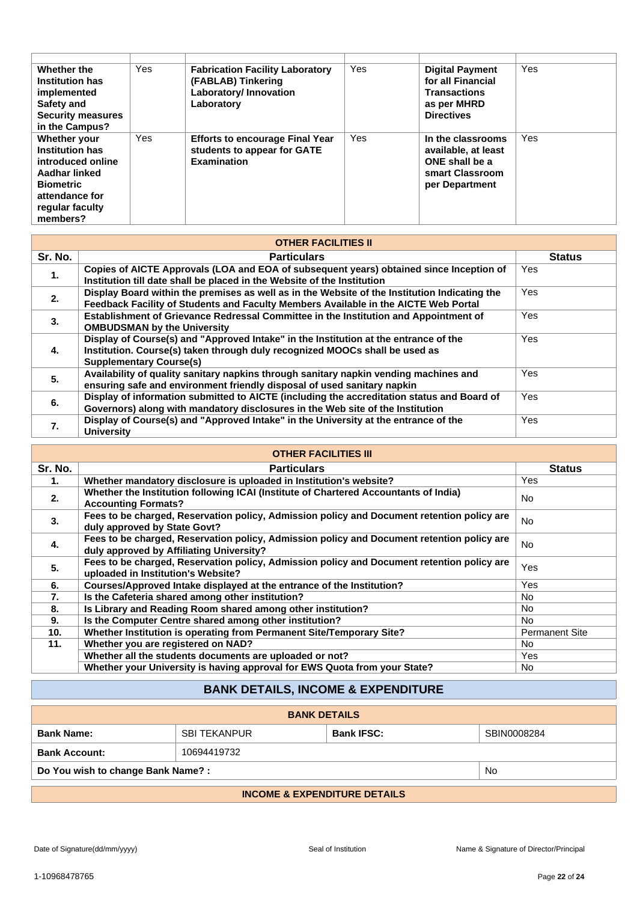| Whether the<br><b>Institution has</b><br>implemented<br>Safety and<br><b>Security measures</b><br>in the Campus?                                  | Yes | <b>Fabrication Facility Laboratory</b><br>(FABLAB) Tinkering<br>Laboratory/ Innovation<br>Laboratory | Yes  | <b>Digital Payment</b><br>for all Financial<br><b>Transactions</b><br>as per MHRD<br><b>Directives</b> | Yes |
|---------------------------------------------------------------------------------------------------------------------------------------------------|-----|------------------------------------------------------------------------------------------------------|------|--------------------------------------------------------------------------------------------------------|-----|
| Whether your<br><b>Institution has</b><br>introduced online<br>Aadhar linked<br><b>Biometric</b><br>attendance for<br>regular faculty<br>members? | Yes | <b>Efforts to encourage Final Year</b><br>students to appear for GATE<br><b>Examination</b>          | Yes. | In the classrooms<br>available, at least<br>ONE shall be a<br>smart Classroom<br>per Department        | Yes |

| <b>OTHER FACILITIES II</b> |                                                                                                                                                                                                       |               |  |  |  |
|----------------------------|-------------------------------------------------------------------------------------------------------------------------------------------------------------------------------------------------------|---------------|--|--|--|
| Sr. No.                    | <b>Particulars</b>                                                                                                                                                                                    | <b>Status</b> |  |  |  |
| 1.                         | Copies of AICTE Approvals (LOA and EOA of subsequent years) obtained since Inception of<br>Institution till date shall be placed in the Website of the Institution                                    | Yes           |  |  |  |
| 2.                         | Display Board within the premises as well as in the Website of the Institution Indicating the<br>Feedback Facility of Students and Faculty Members Available in the AICTE Web Portal                  | Yes           |  |  |  |
| 3.                         | Establishment of Grievance Redressal Committee in the Institution and Appointment of<br><b>OMBUDSMAN by the University</b>                                                                            | Yes           |  |  |  |
| 4.                         | Display of Course(s) and "Approved Intake" in the Institution at the entrance of the<br>Institution. Course(s) taken through duly recognized MOOCs shall be used as<br><b>Supplementary Course(s)</b> | Yes           |  |  |  |
| 5.                         | Availability of quality sanitary napkins through sanitary napkin vending machines and<br>ensuring safe and environment friendly disposal of used sanitary napkin                                      | Yes           |  |  |  |
| 6.                         | Display of information submitted to AICTE (including the accreditation status and Board of<br>Governors) along with mandatory disclosures in the Web site of the Institution                          | Yes           |  |  |  |
| 7.                         | Display of Course(s) and "Approved Intake" in the University at the entrance of the<br><b>University</b>                                                                                              | Yes           |  |  |  |

| <b>OTHER FACILITIES III</b> |                                                                                                                                        |                       |  |  |
|-----------------------------|----------------------------------------------------------------------------------------------------------------------------------------|-----------------------|--|--|
| Sr. No.                     | <b>Particulars</b>                                                                                                                     | <b>Status</b>         |  |  |
| 1.                          | Whether mandatory disclosure is uploaded in Institution's website?                                                                     | Yes.                  |  |  |
| 2.                          | Whether the Institution following ICAI (Institute of Chartered Accountants of India)<br><b>Accounting Formats?</b>                     | No.                   |  |  |
| 3.                          | Fees to be charged, Reservation policy, Admission policy and Document retention policy are<br>duly approved by State Govt?             | <b>No</b>             |  |  |
| 4.                          | Fees to be charged, Reservation policy, Admission policy and Document retention policy are<br>duly approved by Affiliating University? | <b>No</b>             |  |  |
| 5.                          | Fees to be charged, Reservation policy, Admission policy and Document retention policy are<br>uploaded in Institution's Website?       | Yes                   |  |  |
| 6.                          | Courses/Approved Intake displayed at the entrance of the Institution?                                                                  | <b>Yes</b>            |  |  |
| 7.                          | Is the Cafeteria shared among other institution?                                                                                       | No.                   |  |  |
| 8.                          | Is Library and Reading Room shared among other institution?                                                                            | No.                   |  |  |
| 9.                          | Is the Computer Centre shared among other institution?                                                                                 | No.                   |  |  |
| 10.                         | Whether Institution is operating from Permanent Site/Temporary Site?                                                                   | <b>Permanent Site</b> |  |  |
| 11.                         | Whether you are registered on NAD?                                                                                                     | No.                   |  |  |
|                             | Whether all the students documents are uploaded or not?                                                                                | Yes.                  |  |  |
|                             | Whether your University is having approval for EWS Quota from your State?                                                              | <b>No</b>             |  |  |

## **BANK DETAILS, INCOME & EXPENDITURE**

| <b>BANK DETAILS</b>               |                     |                   |             |  |  |  |  |  |  |  |  |  |  |
|-----------------------------------|---------------------|-------------------|-------------|--|--|--|--|--|--|--|--|--|--|
| <b>Bank Name:</b>                 | <b>SBI TEKANPUR</b> | <b>Bank IFSC:</b> | SBIN0008284 |  |  |  |  |  |  |  |  |  |  |
| <b>Bank Account:</b>              | 10694419732         |                   |             |  |  |  |  |  |  |  |  |  |  |
| Do You wish to change Bank Name?: | <b>No</b>           |                   |             |  |  |  |  |  |  |  |  |  |  |
|                                   |                     |                   |             |  |  |  |  |  |  |  |  |  |  |

### **INCOME & EXPENDITURE DETAILS**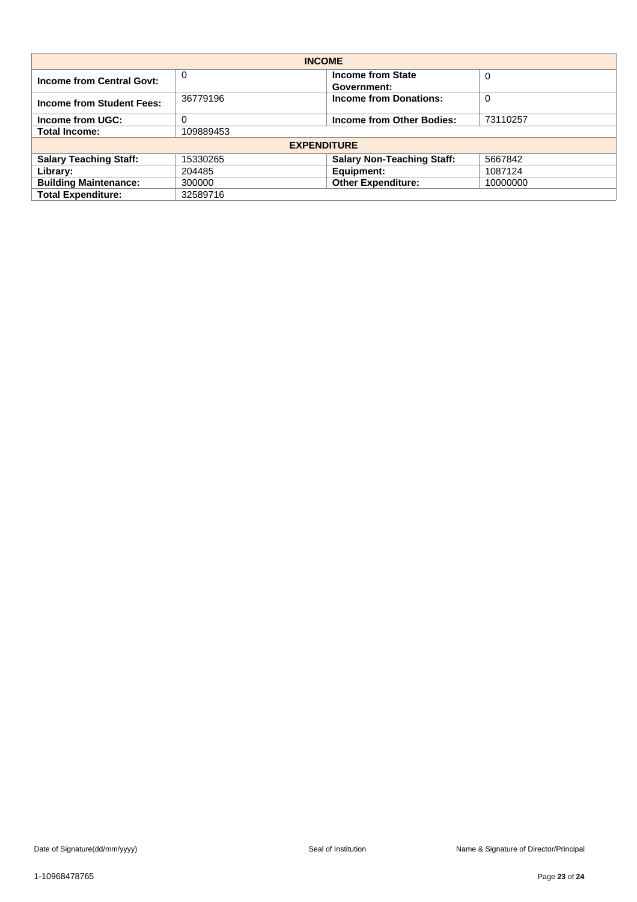|                                  |           | <b>INCOME</b>                           |          |
|----------------------------------|-----------|-----------------------------------------|----------|
| <b>Income from Central Govt:</b> | $\Omega$  | <b>Income from State</b><br>Government: | 0        |
| Income from Student Fees:        | 36779196  | <b>Income from Donations:</b>           | 0        |
| Income from UGC:                 | 0         | Income from Other Bodies:               | 73110257 |
| <b>Total Income:</b>             | 109889453 |                                         |          |
|                                  |           | <b>EXPENDITURE</b>                      |          |
| <b>Salary Teaching Staff:</b>    | 15330265  | <b>Salary Non-Teaching Staff:</b>       | 5667842  |
| Library:                         | 204485    | Equipment:                              | 1087124  |
| <b>Building Maintenance:</b>     | 300000    | <b>Other Expenditure:</b>               | 10000000 |
| <b>Total Expenditure:</b>        | 32589716  |                                         |          |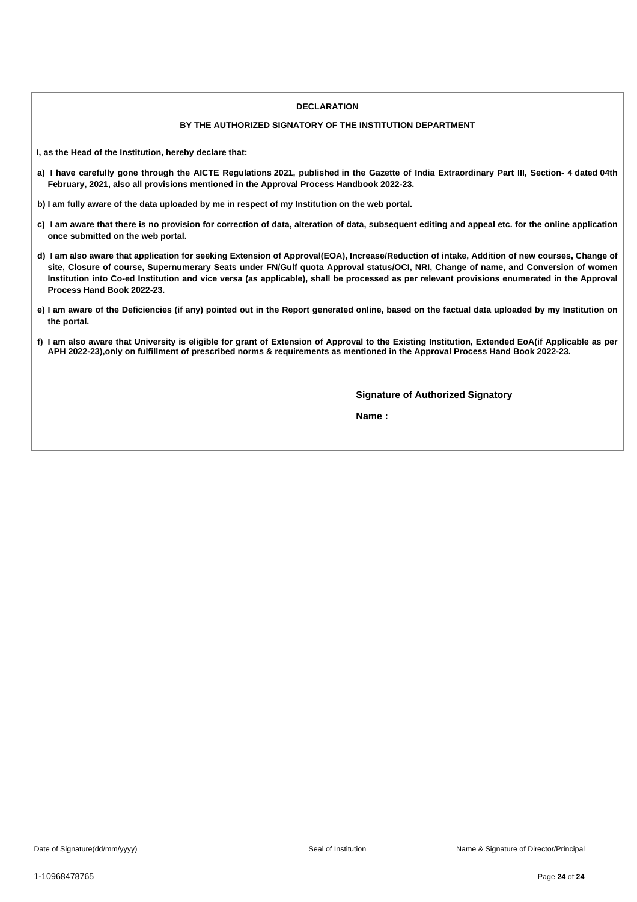#### **DECLARATION**

#### **BY THE AUTHORIZED SIGNATORY OF THE INSTITUTION DEPARTMENT**

**I, as the Head of the Institution, hereby declare that:**

- a) I have carefully gone through the AICTE Regulations 2021, published in the Gazette of India Extraordinary Part III, Section- 4 dated 04th **February, 2021, also all provisions mentioned in the Approval Process Handbook 2022-23.**
- b) I am fully aware of the data uploaded by me in respect of my Institution on the web portal.
- c) I am aware that there is no provision for correction of data, alteration of data, subsequent editing and appeal etc. for the online application **once submitted on the web portal.**
- d) I am also aware that application for seeking Extension of Approval(EOA), Increase/Reduction of intake, Addition of new courses, Change of site, Closure of course, Supernumerary Seats under FN/Gulf quota Approval status/OCI, NRI, Change of name, and Conversion of women Institution into Co-ed Institution and vice versa (as applicable), shall be processed as per relevant provisions enumerated in the Approval **Process Hand Book 2022-23.**
- e) I am aware of the Deficiencies (if any) pointed out in the Report generated online, based on the factual data uploaded by my Institution on **the portal.**
- f) I am also aware that University is eligible for grant of Extension of Approval to the Existing Institution, Extended EoA(if Applicable as per APH 2022-23), only on fulfillment of prescribed norms & requirements as mentioned in the Approval Process Hand Book 2022-23.

**Signature of Authorized Signatory**

**Name :**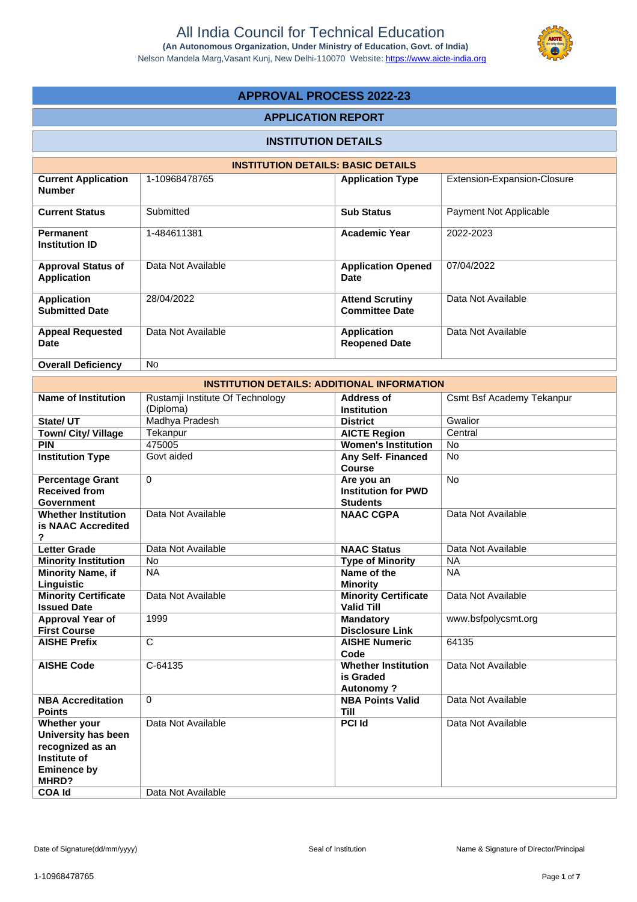Nelson Mandela Marg,Vasant Kunj, New Delhi-110070 Website: https://www.aicte-india.org



### **APPROVAL PROCESS 2022-23**

### **APPLICATION REPORT**

#### **INSTITUTION DETAILS**

|                                                 | <b>INSTITUTION DETAILS: BASIC DETAILS</b> |                                                 |                             |
|-------------------------------------------------|-------------------------------------------|-------------------------------------------------|-----------------------------|
| <b>Current Application</b><br><b>Number</b>     | 1-10968478765                             | <b>Application Type</b>                         | Extension-Expansion-Closure |
| <b>Current Status</b>                           | Submitted                                 | <b>Sub Status</b>                               | Payment Not Applicable      |
| <b>Permanent</b><br><b>Institution ID</b>       | 1-484611381                               | <b>Academic Year</b>                            | 2022-2023                   |
| <b>Approval Status of</b><br><b>Application</b> | Data Not Available                        | <b>Application Opened</b><br>Date               | 07/04/2022                  |
| <b>Application</b><br><b>Submitted Date</b>     | 28/04/2022                                | <b>Attend Scrutiny</b><br><b>Committee Date</b> | Data Not Available          |
| <b>Appeal Requested</b><br>Date                 | Data Not Available                        | <b>Application</b><br><b>Reopened Date</b>      | Data Not Available          |
| <b>Overall Deficiency</b>                       | N <sub>o</sub>                            |                                                 |                             |

|                                                                                                                         | <b>INSTITUTION DETAILS: ADDITIONAL INFORMATION</b> |                                                             |                           |
|-------------------------------------------------------------------------------------------------------------------------|----------------------------------------------------|-------------------------------------------------------------|---------------------------|
| <b>Name of Institution</b>                                                                                              | Rustamji Institute Of Technology<br>(Diploma)      | Address of<br><b>Institution</b>                            | Csmt Bsf Academy Tekanpur |
| State/UT                                                                                                                | Madhya Pradesh                                     | <b>District</b>                                             | Gwalior                   |
| Town/ City/ Village                                                                                                     | Tekanpur                                           | <b>AICTE Region</b>                                         | Central                   |
| <b>PIN</b>                                                                                                              | 475005                                             | <b>Women's Institution</b>                                  | <b>No</b>                 |
| <b>Institution Type</b>                                                                                                 | Govt aided                                         | <b>Any Self- Financed</b><br>Course                         | <b>No</b>                 |
| <b>Percentage Grant</b><br><b>Received from</b>                                                                         | $\Omega$                                           | Are you an<br><b>Institution for PWD</b>                    | <b>No</b>                 |
| Government                                                                                                              |                                                    | <b>Students</b>                                             |                           |
| <b>Whether Institution</b><br>is NAAC Accredited<br>?                                                                   | Data Not Available                                 | <b>NAAC CGPA</b>                                            | Data Not Available        |
| <b>Letter Grade</b>                                                                                                     | Data Not Available                                 | <b>NAAC Status</b>                                          | Data Not Available        |
| <b>Minority Institution</b>                                                                                             | <b>No</b>                                          | <b>Type of Minority</b>                                     | <b>NA</b>                 |
| <b>Minority Name, if</b><br>Linguistic                                                                                  | <b>NA</b>                                          | Name of the<br><b>Minority</b>                              | <b>NA</b>                 |
| <b>Minority Certificate</b><br><b>Issued Date</b>                                                                       | Data Not Available                                 | <b>Minority Certificate</b><br><b>Valid Till</b>            | Data Not Available        |
| <b>Approval Year of</b><br><b>First Course</b>                                                                          | 1999                                               | <b>Mandatory</b><br><b>Disclosure Link</b>                  | www.bsfpolycsmt.org       |
| <b>AISHE Prefix</b>                                                                                                     | $\mathsf{C}$                                       | <b>AISHE Numeric</b><br>Code                                | 64135                     |
| <b>AISHE Code</b>                                                                                                       | C-64135                                            | <b>Whether Institution</b><br>is Graded<br><b>Autonomy?</b> | Data Not Available        |
| <b>NBA Accreditation</b><br><b>Points</b>                                                                               | $\Omega$                                           | <b>NBA Points Valid</b><br><b>Till</b>                      | Data Not Available        |
| Whether your<br>University has been<br>recognized as an<br>Institute of<br><b>Eminence by</b><br>MHRD?<br><b>COA Id</b> | Data Not Available<br>Data Not Available           | <b>PCI Id</b>                                               | Data Not Available        |
|                                                                                                                         |                                                    |                                                             |                           |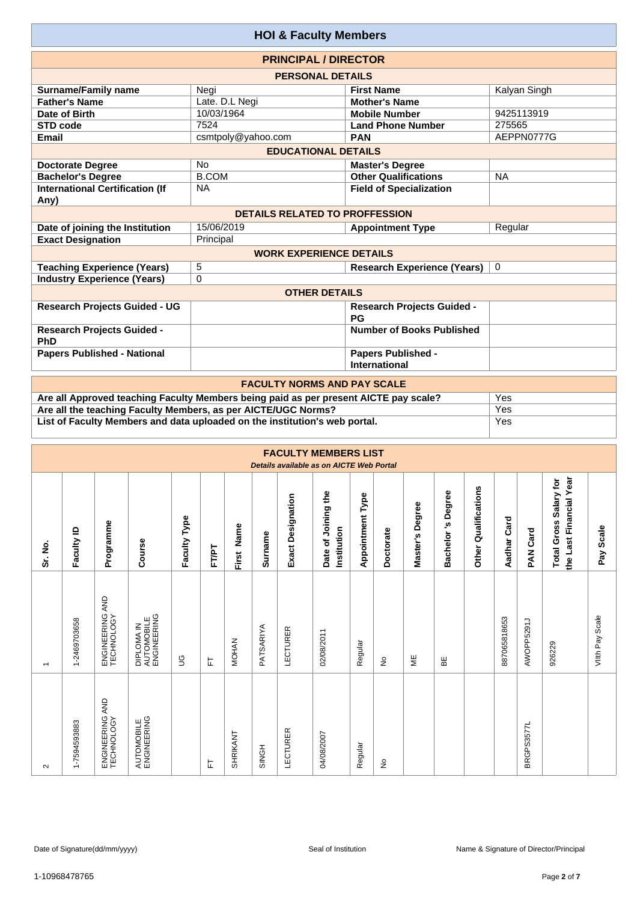|                                                | <b>HOI &amp; Faculty Members</b>      |                                            |              |  |  |  |
|------------------------------------------------|---------------------------------------|--------------------------------------------|--------------|--|--|--|
|                                                | <b>PRINCIPAL / DIRECTOR</b>           |                                            |              |  |  |  |
|                                                | <b>PERSONAL DETAILS</b>               |                                            |              |  |  |  |
| <b>Surname/Family name</b>                     | Negi                                  | <b>First Name</b>                          | Kalyan Singh |  |  |  |
| <b>Father's Name</b>                           | Late. D.L Negi                        | <b>Mother's Name</b>                       |              |  |  |  |
| Date of Birth                                  | 10/03/1964                            | <b>Mobile Number</b>                       | 9425113919   |  |  |  |
| <b>STD code</b>                                | 7524                                  | <b>Land Phone Number</b>                   | 275565       |  |  |  |
| Email                                          | csmtpoly@yahoo.com                    | <b>PAN</b>                                 | AEPPN0777G   |  |  |  |
|                                                | <b>EDUCATIONAL DETAILS</b>            |                                            |              |  |  |  |
| <b>Doctorate Degree</b>                        | <b>No</b>                             | <b>Master's Degree</b>                     |              |  |  |  |
| <b>Bachelor's Degree</b>                       | <b>B.COM</b>                          | <b>Other Qualifications</b>                | <b>NA</b>    |  |  |  |
| <b>International Certification (If</b><br>Any) | <b>NA</b>                             | <b>Field of Specialization</b>             |              |  |  |  |
|                                                | <b>DETAILS RELATED TO PROFFESSION</b> |                                            |              |  |  |  |
| Date of joining the Institution                | 15/06/2019                            | <b>Appointment Type</b>                    | Regular      |  |  |  |
| <b>Exact Designation</b>                       | Principal                             |                                            |              |  |  |  |
|                                                | <b>WORK EXPERIENCE DETAILS</b>        |                                            |              |  |  |  |
| <b>Teaching Experience (Years)</b>             | 5                                     | <b>Research Experience (Years)</b>         | $\Omega$     |  |  |  |
| <b>Industry Experience (Years)</b>             | $\mathbf 0$                           |                                            |              |  |  |  |
|                                                | <b>OTHER DETAILS</b>                  |                                            |              |  |  |  |
| <b>Research Projects Guided - UG</b>           |                                       | <b>Research Projects Guided -</b><br>PG    |              |  |  |  |
| <b>Research Projects Guided -</b><br>PhD       |                                       | <b>Number of Books Published</b>           |              |  |  |  |
| <b>Papers Published - National</b>             |                                       | <b>Papers Published -</b><br>International |              |  |  |  |
|                                                | <b>FACULTY NORMS AND PAY SCALE</b>    |                                            |              |  |  |  |

| <b>FACULTY NORMS AND PAY SCALE</b>                                                   |     |
|--------------------------------------------------------------------------------------|-----|
| Are all Approved teaching Faculty Members being paid as per present AICTE pay scale? | Yes |
| Are all the teaching Faculty Members, as per AICTE/UGC Norms?                        | Yes |
| List of Faculty Members and data uploaded on the institution's web portal.           | Yes |

|                          |              |                                  |                                         |              |       |              |           |                          | <b>FACULTY MEMBERS LIST</b><br>Details available as on AICTE Web Portal |                         |           |                         |                          |                                |              |                    |                                                   |                 |
|--------------------------|--------------|----------------------------------|-----------------------------------------|--------------|-------|--------------|-----------|--------------------------|-------------------------------------------------------------------------|-------------------------|-----------|-------------------------|--------------------------|--------------------------------|--------------|--------------------|---------------------------------------------------|-----------------|
| Sr. No.                  | Faculty ID   | Programme                        | Course                                  | Faculty Type | FT/PT | First Name   | Surname   | <b>Exact Designation</b> | Date of Joining the<br>Institution                                      | <b>Appointment Type</b> | Doctorate | Degree<br>Master's      | Degree<br>°,<br>Bachelor | Qualifications<br><b>Other</b> | Aadhar Card  | Card<br><b>PAN</b> | the Last Financial Year<br>Total Gross Salary for | Scale<br>Pay    |
| $\overline{\phantom{0}}$ | 1-2469703658 | ENGINEERING AND<br>TECHNOLOGY    | AUTOMOBILE<br>ENGINEERING<br>DIPLOMA IN | 9D           | 는     | <b>MOHAN</b> | PATSARIYA | <b>LECTURER</b>          | $\overline{\phantom{0}}$<br>02/08/201                                   | Regular                 | ş         | $\overline{\mathbb{R}}$ | BE                       |                                | 887065818653 | AWOPP5291J         | 926229                                            | VIIth Pay Scale |
| $\sim$                   | 1-7594593883 | AND<br>ENGINEERING<br>TECHNOLOGY | AUTOMOBILE<br>ENGINEERING               |              | 뉸     | SHRIKANT     | SINGH     | LECTURER                 | 04/08/2007                                                              | Regular                 | ş         |                         |                          |                                |              | BRGPS3577L         |                                                   |                 |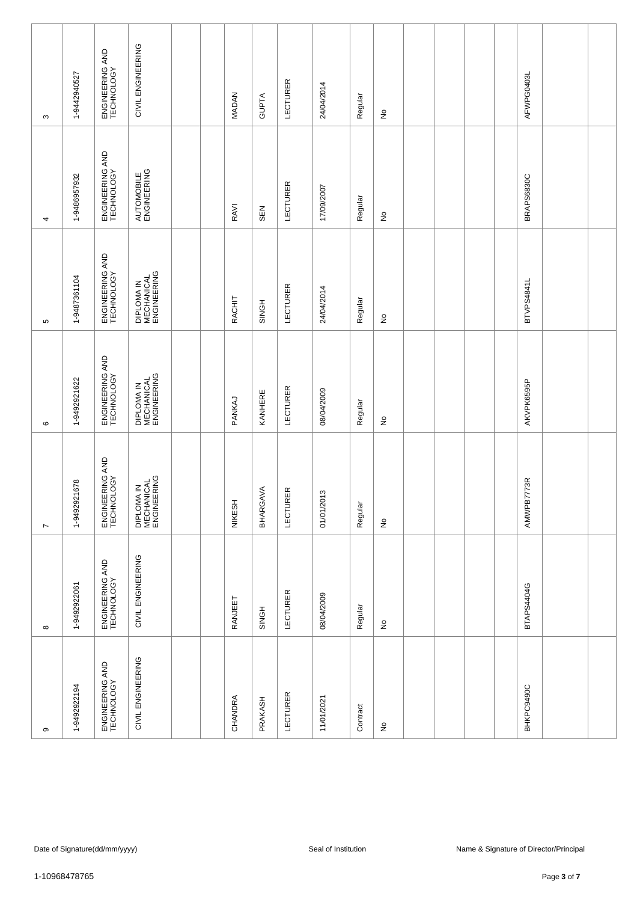| $\infty$       | 1-9442940527 | ENGINEERING AND<br>TECHNOLOGY | CIVIL ENGINEERING                       | <b>MADAN</b> | <b>GUPTA</b> | LECTURER                       | 24/04/2014 | Regular  | $\frac{\circ}{\sim}$        |  |  | AFWPG0403L |  |
|----------------|--------------|-------------------------------|-----------------------------------------|--------------|--------------|--------------------------------|------------|----------|-----------------------------|--|--|------------|--|
| 4              | 1-9486957932 | ENGINEERING AND<br>TECHNOLOGY | AUTOMOBILE<br>ENGINEERING               | RAVI         | SEN          | <b>LECTURER</b>                | 17/09/2007 | Regular  | $\stackrel{\mathtt{o}}{z}$  |  |  | BRAPS6830C |  |
| ъ              | 1-9487361104 | ENGINEERING AND<br>TECHNOLOGY | DIPLOMA IN<br>MECHANICAL<br>ENGINEERING | RACHIT       | <b>SINGH</b> | <b>LECTURER</b>                | 24/04/2014 | Regular  | $\stackrel{\circ}{\simeq}$  |  |  | BTVPS4841L |  |
| $\circ$        | 1-9492921622 | ENGINEERING AND<br>TECHNOLOGY | DIPLOMA IN<br>MECHANICAL<br>ENGINEERING | PANKAJ       | KANHERE      | <b>LECTURER</b>                | 08/04/2009 | Regular  | $\hat{z}$                   |  |  | AKVPK6595P |  |
| $\overline{ }$ | 1-9492921678 | ENGINEERING AND<br>TECHNOLOGY | DIPLOMA IN<br>MECHANICAL<br>ENGINEERING | NIKESH       | BHARGAVA     | $\mathbb{E}$<br><b>LECTURI</b> | 01/01/2013 | Regular  | $\stackrel{\mathtt{o}}{z}$  |  |  | AMWPB7773R |  |
| $\infty$       | 1-9492922061 | ENGINEERING AND<br>TECHNOLOGY | CIVIL ENGINEERING                       | RANJEET      | SINGH        | LECTURER                       | 08/04/2009 | Regular  | $\stackrel{\circ}{\succeq}$ |  |  | BTAPS4404G |  |
| თ              | 1-9492922194 | ENGINEERING AND<br>TECHNOLOGY | CIVIL ENGINEERING                       | CHANDRA      | PRAKASH      | <b>LECTURER</b>                | 11/01/2021 | Contract | $\frac{\circ}{\sim}$        |  |  | BHKPC9490C |  |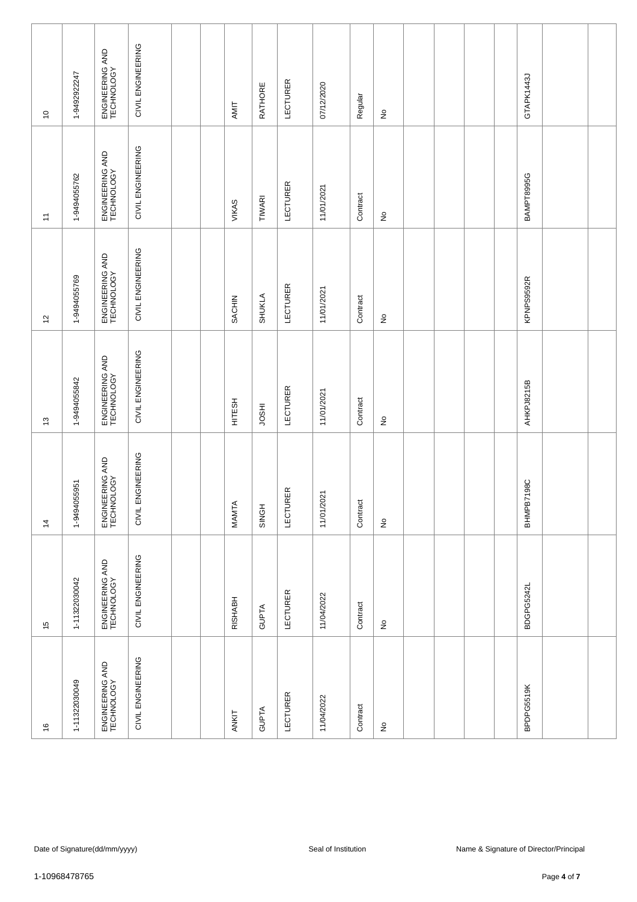| $\overline{\phantom{0}}$ | 1-9492922247  | ENGINEERING AND<br>TECHNOLOGY | CIVIL ENGINEERING | AMIT          | RATHORE      | <b>LECTURER</b> | 07/12/2020          | Regular  | $\frac{\circ}{\sim}$       |  |  | GTAPK1443J |                                        |  |
|--------------------------|---------------|-------------------------------|-------------------|---------------|--------------|-----------------|---------------------|----------|----------------------------|--|--|------------|----------------------------------------|--|
| $\overline{\phantom{a}}$ | 1-9494055762  | ENGINEERING AND<br>TECHNOLOGY | CIVIL ENGINEERING | VIKAS         | TIWARI       | <b>LECTURER</b> | 11/01/2021          | Contract | $\stackrel{\mathtt{o}}{z}$ |  |  | BAMPT8995G |                                        |  |
| $\overline{\omega}$      | 1-9494055769  | ENGINEERING AND<br>TECHNOLOGY | CIVIL ENGINEERING | SACHIN        | SHUKLA       | <b>LECTURER</b> | 11/01/2021          | Contract | $\hat{\mathsf{z}}$         |  |  | KPNPS9592R |                                        |  |
| $\tilde{\mathbf{c}}$     | 1-9494055842  | ENGINEERING AND<br>TECHNOLOGY | CIVIL ENGINEERING | <b>HILESH</b> | <b>HSOL</b>  | <b>LECTURER</b> | 11/01/2021          | Contract | $\hat{\mathsf{z}}$         |  |  | AHKPJ8215B |                                        |  |
| $\dot{4}$                | 1-9494055951  | ENGINEERING AND<br>TECHNOLOGY | CIVIL ENGINEERING | MAMTA         | SINGH        | <b>LECTURER</b> | 11/01/2021          | Contract | $\stackrel{\mathtt{o}}{z}$ |  |  | BHMPB7198C |                                        |  |
| $\frac{5}{1}$            | 1-11322030042 | ENGINEERING AND<br>TECHNOLOGY | CIVIL ENGINEERING | RISHABH       | <b>GUPTA</b> | <b>LECTURER</b> | 11/04/2022          | Contract | $\frac{\circ}{\sim}$       |  |  | BDGPG5242L |                                        |  |
| $\frac{6}{2}$            | 1-11322030049 | ENGINEERING AND<br>TECHNOLOGY | CIVIL ENGINEERING | ANKIT         | <b>GUPTA</b> | LECTURER        | 11/04/2022          | Contract | $\frac{\circ}{\sim}$       |  |  | BPDPG5519K |                                        |  |
|                          |               |                               |                   |               |              |                 |                     |          |                            |  |  |            |                                        |  |
|                          |               | Date of Signature(dd/mm/yyyy) |                   |               |              |                 | Seal of Institution |          |                            |  |  |            | Name & Signature of Director/Principal |  |
| 1-10968478765            |               |                               |                   |               |              |                 |                     |          |                            |  |  |            | Page 4 of 7                            |  |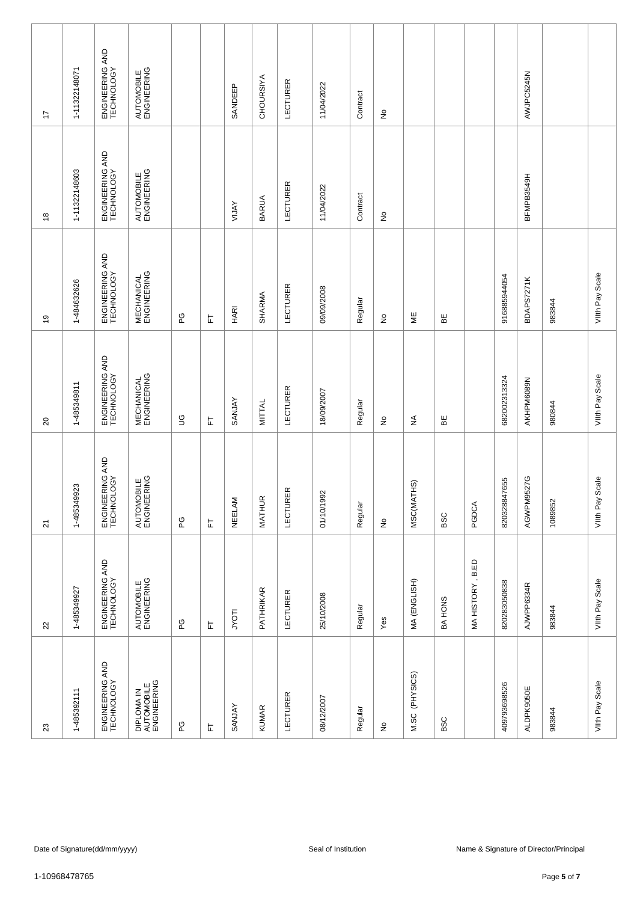| 17             | 1-11322148071 | ENGINEERING AND<br>TECHNOLOGY | AUTOMOBILE<br>ENGINEERING               |             |   | SANDEEP       | <b>CHOURSIYA</b> | <b>LECTURER</b>                | 11/04/2022          | Contract | $\frac{\circ}{\sim}$            |                   |            |                  |              | AWJPC5245N |                                        |                    |
|----------------|---------------|-------------------------------|-----------------------------------------|-------------|---|---------------|------------------|--------------------------------|---------------------|----------|---------------------------------|-------------------|------------|------------------|--------------|------------|----------------------------------------|--------------------|
| $\frac{8}{2}$  | 1-11322148603 | ENGINEERING AND<br>TECHNOLOGY | AUTOMOBILE<br>ENGINEERING               |             |   | <b>VALIV</b>  | <b>BARUA</b>     | LECTURER                       | 11/04/2022          | Contract | $\stackrel{\mathtt{o}}{z}$      |                   |            |                  |              | BFMPB3549H |                                        |                    |
| $\overline{9}$ | 1-484632626   | ENGINEERING AND<br>TECHNOLOGY | <b>MECHANICAL</b><br>ENGINEERING        | ဥ           | 匸 | HARI          | SHARMA           | <b>LECTURER</b>                | 09/09/2008          | Regular  | $\frac{\circ}{\sim}$            | ₩                 | 띪          |                  | 916885944054 | BDAPS7271K | 983844                                 | Viith Pay Scale    |
| $\overline{c}$ | 1-485349811   | ENGINEERING AND<br>TECHNOLOGY | <b>MECHANICAL</b><br>ENGINEERING        | $\mathbb S$ | 匸 | <b>SANJAY</b> | MITTAL           | LECTURER                       | 18/09/2007          | Regular  | $\frac{\mathsf{O}}{\mathsf{D}}$ | ₹                 | 띪          |                  | 682002313324 | AKHPM6089N | 980844                                 | Viith Pay Scale    |
| $\overline{2}$ | 1-485349923   | ENGINEERING AND<br>TECHNOLOGY | AUTOMOBILE<br>ENGINEERING               | ဥ           | 눈 | NEELAM        | MATHUR           | $\mathbb{E}$<br><b>LECTURI</b> | 01/10/1992          | Regular  | $\stackrel{\mathtt{o}}{z}$      | MSC(MATHS)        | <b>BSC</b> | PGDCA            | 820328847655 | AGWPM9527G | 1089852                                | Scale<br>VIIth Pay |
| $\mathbf{z}$   | 1-485349927   | ENGINEERING AND<br>TECHNOLOGY | AUTOMOBILE<br>ENGINEERING               | ဥ           | ᄂ | <b>JYOTI</b>  | PATHRIKAR        | <b>LECTURER</b>                | 25/10/2008          | Regular  | Yes                             | MA (ENGLISH)      | BA HONS    | MA HISTORY, B.ED | 820283050838 | AJWPP6334R | 983844                                 | VIIth Pay Scale    |
| $23\,$         | 1-485392111   | ENGINEERING AND<br>TECHNOLOGY | DIPLOMA IN<br>AUTOMOBILE<br>ENGINEERING | ဥ           | 匸 | <b>SANJAY</b> | <b>KUMAR</b>     | LECTURER                       | 08/12/2007          | Regular  | $\frac{\circ}{\sim}$            | (PHYSICS)<br>M.SC | <b>BSC</b> |                  | 409793698526 | ALDPK9050E | 983844                                 | Viith Pay Scale    |
|                |               |                               |                                         |             |   |               |                  |                                |                     |          |                                 |                   |            |                  |              |            |                                        |                    |
|                | 1-10968478765 | Date of Signature(dd/mm/yyyy) |                                         |             |   |               |                  |                                | Seal of Institution |          |                                 |                   |            |                  |              |            | Name & Signature of Director/Principal |                    |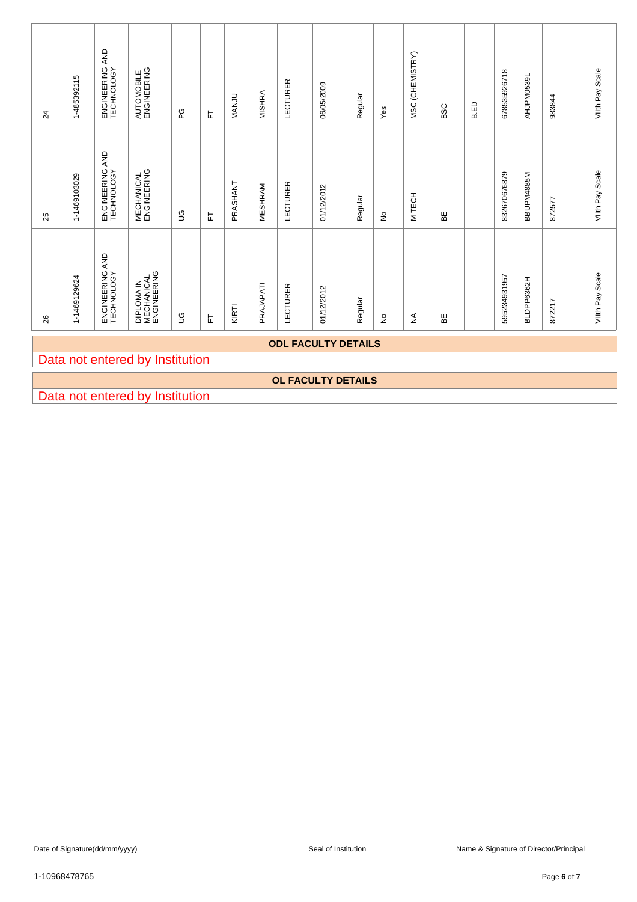| $\overline{24}$            | 1-485392115                                                                                                                    | ENGINEERING AND<br>TECHNOLOGY | AUTOMOBILE<br>ENGINEERING               | ဥ           | 匸 | <b>MANJU</b> | <b>MISHRA</b>  | LECTURER | 06/05/2009                | Regular | Yes                        | MSC (CHEMISTRY) | BSC | <b>B.ED</b> | 678535926718 | AHJPM0539L | 983844 | Viith Pay Scale |
|----------------------------|--------------------------------------------------------------------------------------------------------------------------------|-------------------------------|-----------------------------------------|-------------|---|--------------|----------------|----------|---------------------------|---------|----------------------------|-----------------|-----|-------------|--------------|------------|--------|-----------------|
| 25                         | 1-1469103029                                                                                                                   | ENGINEERING AND<br>TECHNOLOGY | <b>MECHANICAL</b><br>ENGINEERING        | $\mathbb S$ | 岀 | PRASHANT     | <b>MESHRAM</b> | LECTURER | 01/12/2012                | Regular | $\stackrel{\circ}{\simeq}$ | M TECH          | ΒE  |             | 832670676879 | BBUPM4885M | 872577 | VIIth Pay Scale |
| 26                         | 1-1469129624                                                                                                                   | ENGINEERING AND<br>TECHNOLOGY | DIPLOMA IN<br>MECHANICAL<br>ENGINEERING | $\mathbb S$ | 匸 | KIRTI        | PRAJAPATI      | LECTURER | 01/12/2012                | Regular | $\frac{\circ}{2}$          | $\lessgtr$      | ₩   |             | 595234931957 | BLDPP6362H | 872217 | Vith Pay Scale  |
| <b>ODL FACULTY DETAILS</b> |                                                                                                                                |                               |                                         |             |   |              |                |          |                           |         |                            |                 |     |             |              |            |        |                 |
|                            |                                                                                                                                |                               | Data not entered by Institution         |             |   |              |                |          | <b>OL FACULTY DETAILS</b> |         |                            |                 |     |             |              |            |        |                 |
|                            |                                                                                                                                |                               | Data not entered by Institution         |             |   |              |                |          |                           |         |                            |                 |     |             |              |            |        |                 |
|                            |                                                                                                                                |                               |                                         |             |   |              |                |          |                           |         |                            |                 |     |             |              |            |        |                 |
|                            |                                                                                                                                |                               |                                         |             |   |              |                |          |                           |         |                            |                 |     |             |              |            |        |                 |
|                            | Date of Signature(dd/mm/yyyy)<br>Seal of Institution<br>Name & Signature of Director/Principal<br>1-10968478765<br>Page 6 of 7 |                               |                                         |             |   |              |                |          |                           |         |                            |                 |     |             |              |            |        |                 |